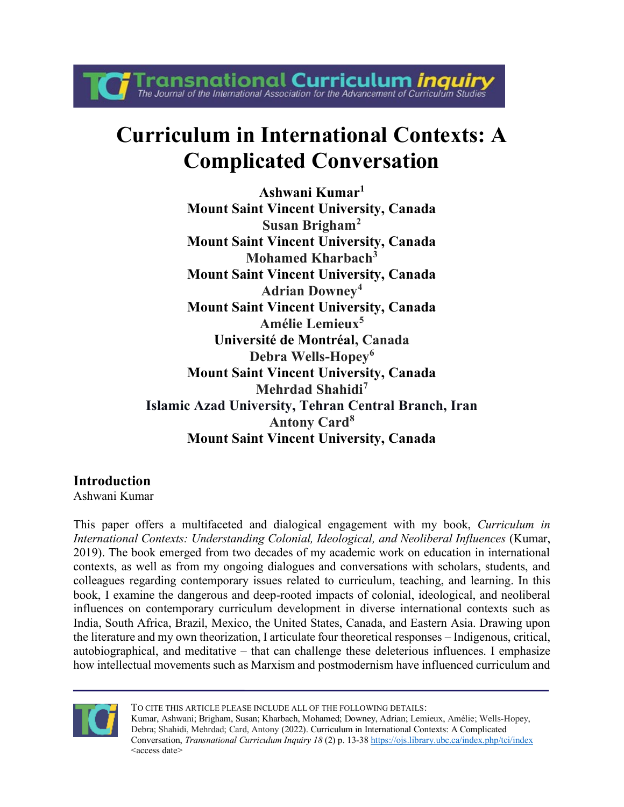**Curriculum in International Contexts: A Complicated Conversation**

**Fransnational Curriculum inquiry**<br>The Journal of the International Association for the Advancement of Curriculum Studies

**Ashwani Kumar<sup>1</sup> Mount Saint Vincent University, Canada Susan Brigham<sup>2</sup> Mount Saint Vincent University, Canada Mohamed Kharbach<sup>3</sup> Mount Saint Vincent University, Canada Adrian Downey<sup>4</sup> Mount Saint Vincent University, Canada Amélie Lemieux<sup>5</sup> Université de Montréal, Canada Debra Wells-Hopey<sup>6</sup> Mount Saint Vincent University, Canada Mehrdad Shahidi<sup>7</sup> Islamic Azad University, Tehran Central Branch, Iran Antony Card<sup>8</sup> Mount Saint Vincent University, Canada**

# **Introduction**

Ashwani Kumar

This paper offers a multifaceted and dialogical engagement with my book, *Curriculum in International Contexts: Understanding Colonial, Ideological, and Neoliberal Influences* (Kumar, 2019). The book emerged from two decades of my academic work on education in international contexts, as well as from my ongoing dialogues and conversations with scholars, students, and colleagues regarding contemporary issues related to curriculum, teaching, and learning. In this book, I examine the dangerous and deep-rooted impacts of colonial, ideological, and neoliberal influences on contemporary curriculum development in diverse international contexts such as India, South Africa, Brazil, Mexico, the United States, Canada, and Eastern Asia. Drawing upon the literature and my own theorization, I articulate four theoretical responses – Indigenous, critical, autobiographical, and meditative – that can challenge these deleterious influences. I emphasize how intellectual movements such as Marxism and postmodernism have influenced curriculum and



TO CITE THIS ARTICLE PLEASE INCLUDE ALL OF THE FOLLOWING DETAILS: Kumar, Ashwani; Brigham, Susan; Kharbach, Mohamed; Downey, Adrian; Lemieux, Amélie; Wells-Hopey, Debra; Shahidi, Mehrdad; Card, Antony (2022). Curriculum in International Contexts: A Complicated Conversation, *Transnational Curriculum Inquiry 18* (2) p. 13-38 https://ojs.library.ubc.ca/index.php/tci/index <access date>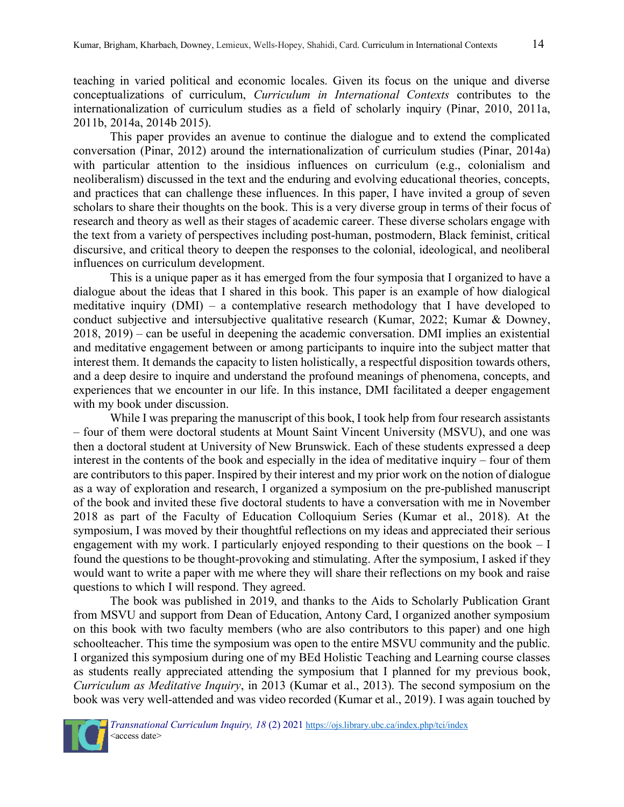teaching in varied political and economic locales. Given its focus on the unique and diverse conceptualizations of curriculum, *Curriculum in International Contexts* contributes to the internationalization of curriculum studies as a field of scholarly inquiry (Pinar, 2010, 2011a, 2011b, 2014a, 2014b 2015).

This paper provides an avenue to continue the dialogue and to extend the complicated conversation (Pinar, 2012) around the internationalization of curriculum studies (Pinar, 2014a) with particular attention to the insidious influences on curriculum (e.g., colonialism and neoliberalism) discussed in the text and the enduring and evolving educational theories, concepts, and practices that can challenge these influences. In this paper, I have invited a group of seven scholars to share their thoughts on the book. This is a very diverse group in terms of their focus of research and theory as well as their stages of academic career. These diverse scholars engage with the text from a variety of perspectives including post-human, postmodern, Black feminist, critical discursive, and critical theory to deepen the responses to the colonial, ideological, and neoliberal influences on curriculum development.

This is a unique paper as it has emerged from the four symposia that I organized to have a dialogue about the ideas that I shared in this book. This paper is an example of how dialogical meditative inquiry (DMI) – a contemplative research methodology that I have developed to conduct subjective and intersubjective qualitative research (Kumar, 2022; Kumar & Downey, 2018, 2019) – can be useful in deepening the academic conversation. DMI implies an existential and meditative engagement between or among participants to inquire into the subject matter that interest them. It demands the capacity to listen holistically, a respectful disposition towards others, and a deep desire to inquire and understand the profound meanings of phenomena, concepts, and experiences that we encounter in our life. In this instance, DMI facilitated a deeper engagement with my book under discussion.

While I was preparing the manuscript of this book, I took help from four research assistants – four of them were doctoral students at Mount Saint Vincent University (MSVU), and one was then a doctoral student at University of New Brunswick. Each of these students expressed a deep interest in the contents of the book and especially in the idea of meditative inquiry – four of them are contributors to this paper. Inspired by their interest and my prior work on the notion of dialogue as a way of exploration and research, I organized a symposium on the pre-published manuscript of the book and invited these five doctoral students to have a conversation with me in November 2018 as part of the Faculty of Education Colloquium Series (Kumar et al., 2018). At the symposium, I was moved by their thoughtful reflections on my ideas and appreciated their serious engagement with my work. I particularly enjoyed responding to their questions on the book – I found the questions to be thought-provoking and stimulating. After the symposium, I asked if they would want to write a paper with me where they will share their reflections on my book and raise questions to which I will respond. They agreed.

The book was published in 2019, and thanks to the Aids to Scholarly Publication Grant from MSVU and support from Dean of Education, Antony Card, I organized another symposium on this book with two faculty members (who are also contributors to this paper) and one high schoolteacher. This time the symposium was open to the entire MSVU community and the public. I organized this symposium during one of my BEd Holistic Teaching and Learning course classes as students really appreciated attending the symposium that I planned for my previous book, *Curriculum as Meditative Inquiry*, in 2013 (Kumar et al., 2013). The second symposium on the book was very well-attended and was video recorded (Kumar et al., 2019). I was again touched by

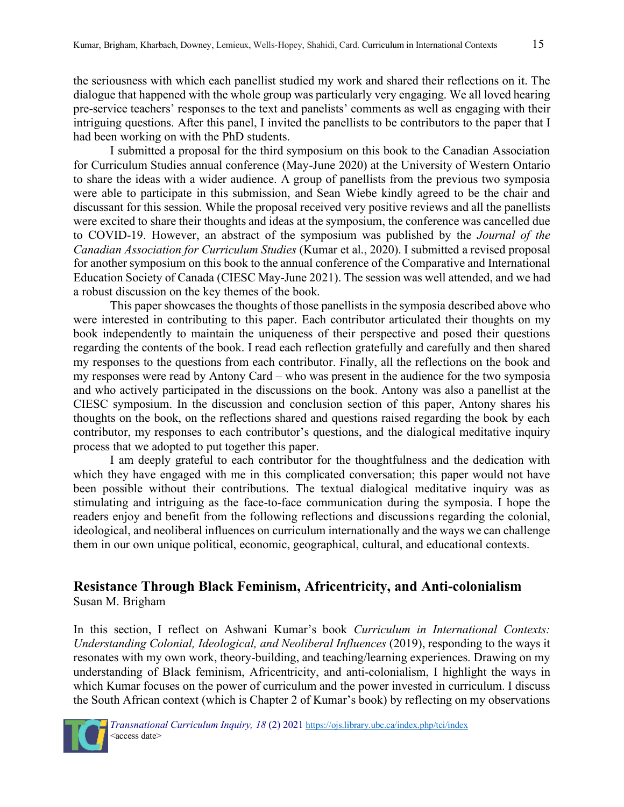the seriousness with which each panellist studied my work and shared their reflections on it. The dialogue that happened with the whole group was particularly very engaging. We all loved hearing pre-service teachers' responses to the text and panelists' comments as well as engaging with their intriguing questions. After this panel, I invited the panellists to be contributors to the paper that I had been working on with the PhD students.

I submitted a proposal for the third symposium on this book to the Canadian Association for Curriculum Studies annual conference (May-June 2020) at the University of Western Ontario to share the ideas with a wider audience. A group of panellists from the previous two symposia were able to participate in this submission, and Sean Wiebe kindly agreed to be the chair and discussant for this session. While the proposal received very positive reviews and all the panellists were excited to share their thoughts and ideas at the symposium, the conference was cancelled due to COVID-19. However, an abstract of the symposium was published by the *Journal of the Canadian Association for Curriculum Studies* (Kumar et al., 2020). I submitted a revised proposal for another symposium on this book to the annual conference of the Comparative and International Education Society of Canada (CIESC May-June 2021). The session was well attended, and we had a robust discussion on the key themes of the book.

This paper showcases the thoughts of those panellists in the symposia described above who were interested in contributing to this paper. Each contributor articulated their thoughts on my book independently to maintain the uniqueness of their perspective and posed their questions regarding the contents of the book. I read each reflection gratefully and carefully and then shared my responses to the questions from each contributor. Finally, all the reflections on the book and my responses were read by Antony Card – who was present in the audience for the two symposia and who actively participated in the discussions on the book. Antony was also a panellist at the CIESC symposium. In the discussion and conclusion section of this paper, Antony shares his thoughts on the book, on the reflections shared and questions raised regarding the book by each contributor, my responses to each contributor's questions, and the dialogical meditative inquiry process that we adopted to put together this paper.

I am deeply grateful to each contributor for the thoughtfulness and the dedication with which they have engaged with me in this complicated conversation; this paper would not have been possible without their contributions. The textual dialogical meditative inquiry was as stimulating and intriguing as the face-to-face communication during the symposia. I hope the readers enjoy and benefit from the following reflections and discussions regarding the colonial, ideological, and neoliberal influences on curriculum internationally and the ways we can challenge them in our own unique political, economic, geographical, cultural, and educational contexts.

#### **Resistance Through Black Feminism, Africentricity, and Anti-colonialism** Susan M. Brigham

In this section, I reflect on Ashwani Kumar's book *Curriculum in International Contexts: Understanding Colonial, Ideological, and Neoliberal Influences* (2019), responding to the ways it resonates with my own work, theory-building, and teaching/learning experiences. Drawing on my understanding of Black feminism, Africentricity, and anti-colonialism, I highlight the ways in which Kumar focuses on the power of curriculum and the power invested in curriculum. I discuss the South African context (which is Chapter 2 of Kumar's book) by reflecting on my observations

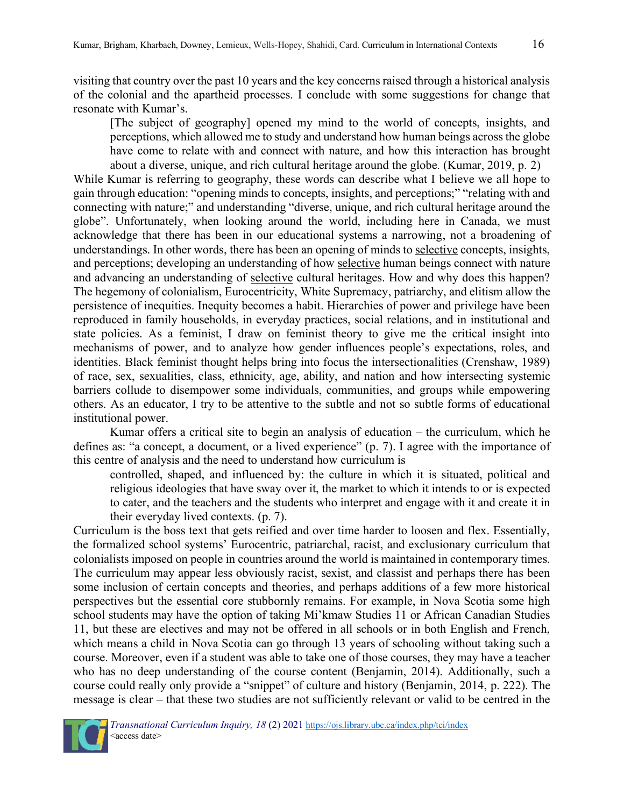visiting that country over the past 10 years and the key concerns raised through a historical analysis of the colonial and the apartheid processes. I conclude with some suggestions for change that resonate with Kumar's.

[The subject of geography] opened my mind to the world of concepts, insights, and perceptions, which allowed me to study and understand how human beings across the globe have come to relate with and connect with nature, and how this interaction has brought about a diverse, unique, and rich cultural heritage around the globe. (Kumar, 2019, p. 2)

While Kumar is referring to geography, these words can describe what I believe we all hope to gain through education: "opening minds to concepts, insights, and perceptions;" "relating with and connecting with nature;" and understanding "diverse, unique, and rich cultural heritage around the globe". Unfortunately, when looking around the world, including here in Canada, we must acknowledge that there has been in our educational systems a narrowing, not a broadening of understandings. In other words, there has been an opening of minds to selective concepts, insights, and perceptions; developing an understanding of how selective human beings connect with nature and advancing an understanding of selective cultural heritages. How and why does this happen? The hegemony of colonialism, Eurocentricity, White Supremacy, patriarchy, and elitism allow the persistence of inequities. Inequity becomes a habit. Hierarchies of power and privilege have been reproduced in family households, in everyday practices, social relations, and in institutional and state policies. As a feminist, I draw on feminist theory to give me the critical insight into mechanisms of power, and to analyze how gender influences people's expectations, roles, and identities. Black feminist thought helps bring into focus the intersectionalities (Crenshaw, 1989) of race, sex, sexualities, class, ethnicity, age, ability, and nation and how intersecting systemic barriers collude to disempower some individuals, communities, and groups while empowering others. As an educator, I try to be attentive to the subtle and not so subtle forms of educational institutional power.

Kumar offers a critical site to begin an analysis of education – the curriculum, which he defines as: "a concept, a document, or a lived experience" (p. 7). I agree with the importance of this centre of analysis and the need to understand how curriculum is

controlled, shaped, and influenced by: the culture in which it is situated, political and religious ideologies that have sway over it, the market to which it intends to or is expected to cater, and the teachers and the students who interpret and engage with it and create it in their everyday lived contexts. (p. 7).

Curriculum is the boss text that gets reified and over time harder to loosen and flex. Essentially, the formalized school systems' Eurocentric, patriarchal, racist, and exclusionary curriculum that colonialists imposed on people in countries around the world is maintained in contemporary times. The curriculum may appear less obviously racist, sexist, and classist and perhaps there has been some inclusion of certain concepts and theories, and perhaps additions of a few more historical perspectives but the essential core stubbornly remains. For example, in Nova Scotia some high school students may have the option of taking Mi'kmaw Studies 11 or African Canadian Studies 11, but these are electives and may not be offered in all schools or in both English and French, which means a child in Nova Scotia can go through 13 years of schooling without taking such a course. Moreover, even if a student was able to take one of those courses, they may have a teacher who has no deep understanding of the course content (Benjamin, 2014). Additionally, such a course could really only provide a "snippet" of culture and history (Benjamin, 2014, p. 222). The message is clear – that these two studies are not sufficiently relevant or valid to be centred in the



 *Transnational Curriculum Inquiry, 18* (2) 2021 [https://ojs.library.ubc.ca/index.php/tci/index](about:blank)  <access date>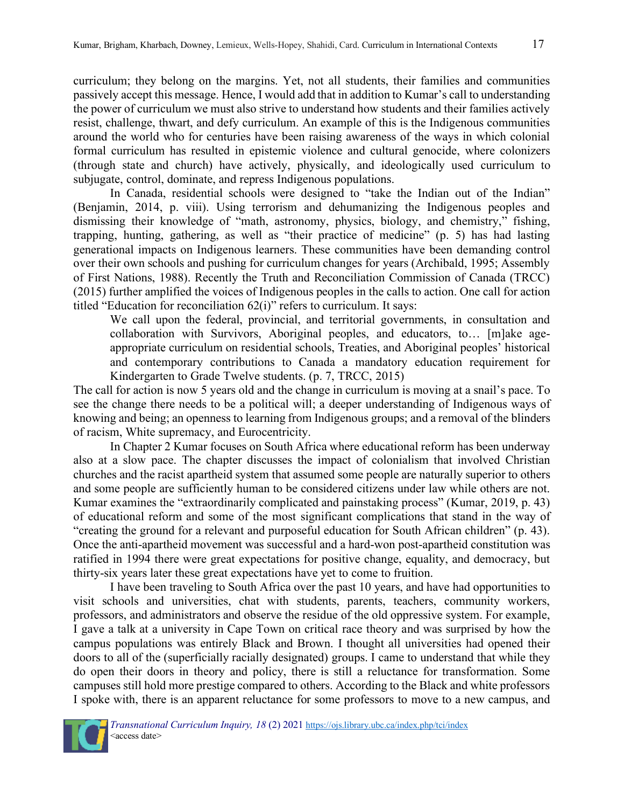curriculum; they belong on the margins. Yet, not all students, their families and communities passively accept this message. Hence, I would add that in addition to Kumar's call to understanding the power of curriculum we must also strive to understand how students and their families actively resist, challenge, thwart, and defy curriculum. An example of this is the Indigenous communities around the world who for centuries have been raising awareness of the ways in which colonial formal curriculum has resulted in epistemic violence and cultural genocide, where colonizers (through state and church) have actively, physically, and ideologically used curriculum to subjugate, control, dominate, and repress Indigenous populations.

In Canada, residential schools were designed to "take the Indian out of the Indian" (Benjamin, 2014, p. viii). Using terrorism and dehumanizing the Indigenous peoples and dismissing their knowledge of "math, astronomy, physics, biology, and chemistry," fishing, trapping, hunting, gathering, as well as "their practice of medicine" (p. 5) has had lasting generational impacts on Indigenous learners. These communities have been demanding control over their own schools and pushing for curriculum changes for years (Archibald, 1995; Assembly of First Nations, 1988). Recently the Truth and Reconciliation Commission of Canada (TRCC) (2015) further amplified the voices of Indigenous peoples in the calls to action. One call for action titled "Education for reconciliation 62(i)" refers to curriculum. It says:

We call upon the federal, provincial, and territorial governments, in consultation and collaboration with Survivors, Aboriginal peoples, and educators, to… [m]ake ageappropriate curriculum on residential schools, Treaties, and Aboriginal peoples' historical and contemporary contributions to Canada a mandatory education requirement for Kindergarten to Grade Twelve students. (p. 7, TRCC, 2015)

The call for action is now 5 years old and the change in curriculum is moving at a snail's pace. To see the change there needs to be a political will; a deeper understanding of Indigenous ways of knowing and being; an openness to learning from Indigenous groups; and a removal of the blinders of racism, White supremacy, and Eurocentricity.

In Chapter 2 Kumar focuses on South Africa where educational reform has been underway also at a slow pace. The chapter discusses the impact of colonialism that involved Christian churches and the racist apartheid system that assumed some people are naturally superior to others and some people are sufficiently human to be considered citizens under law while others are not. Kumar examines the "extraordinarily complicated and painstaking process" (Kumar, 2019, p. 43) of educational reform and some of the most significant complications that stand in the way of "creating the ground for a relevant and purposeful education for South African children" (p. 43). Once the anti-apartheid movement was successful and a hard-won post-apartheid constitution was ratified in 1994 there were great expectations for positive change, equality, and democracy, but thirty-six years later these great expectations have yet to come to fruition.

I have been traveling to South Africa over the past 10 years, and have had opportunities to visit schools and universities, chat with students, parents, teachers, community workers, professors, and administrators and observe the residue of the old oppressive system. For example, I gave a talk at a university in Cape Town on critical race theory and was surprised by how the campus populations was entirely Black and Brown. I thought all universities had opened their doors to all of the (superficially racially designated) groups. I came to understand that while they do open their doors in theory and policy, there is still a reluctance for transformation. Some campuses still hold more prestige compared to others. According to the Black and white professors I spoke with, there is an apparent reluctance for some professors to move to a new campus, and

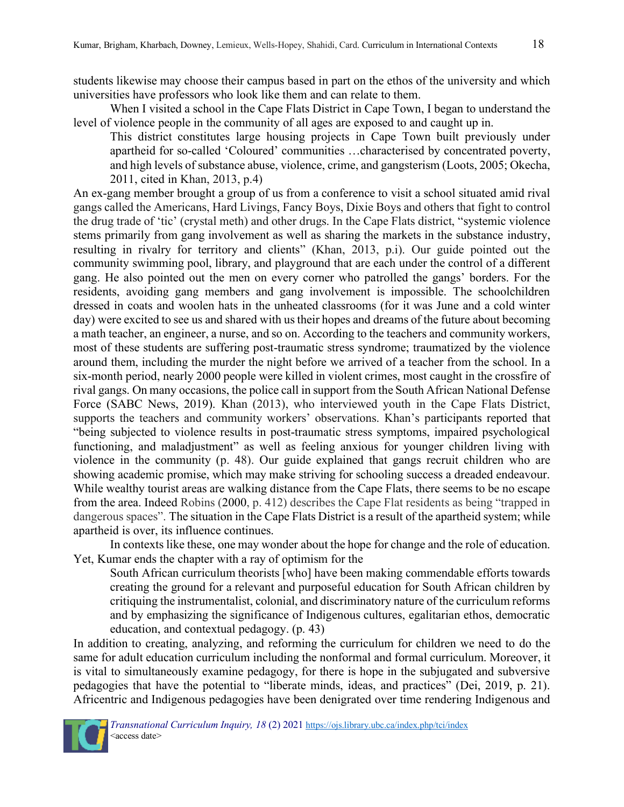students likewise may choose their campus based in part on the ethos of the university and which universities have professors who look like them and can relate to them.

When I visited a school in the Cape Flats District in Cape Town, I began to understand the level of violence people in the community of all ages are exposed to and caught up in.

This district constitutes large housing projects in Cape Town built previously under apartheid for so-called 'Coloured' communities …characterised by concentrated poverty, and high levels of substance abuse, violence, crime, and gangsterism (Loots, 2005; Okecha, 2011, cited in Khan, 2013, p.4)

An ex-gang member brought a group of us from a conference to visit a school situated amid rival gangs called the Americans, Hard Livings, Fancy Boys, Dixie Boys and others that fight to control the drug trade of 'tic' (crystal meth) and other drugs. In the Cape Flats district, "systemic violence stems primarily from gang involvement as well as sharing the markets in the substance industry, resulting in rivalry for territory and clients" (Khan, 2013, p.i). Our guide pointed out the community swimming pool, library, and playground that are each under the control of a different gang. He also pointed out the men on every corner who patrolled the gangs' borders. For the residents, avoiding gang members and gang involvement is impossible. The schoolchildren dressed in coats and woolen hats in the unheated classrooms (for it was June and a cold winter day) were excited to see us and shared with us their hopes and dreams of the future about becoming a math teacher, an engineer, a nurse, and so on. According to the teachers and community workers, most of these students are suffering post-traumatic stress syndrome; traumatized by the violence around them, including the murder the night before we arrived of a teacher from the school. In a six-month period, nearly 2000 people were killed in violent crimes, most caught in the crossfire of rival gangs. On many occasions, the police call in support from the South African National Defense Force (SABC News, 2019). Khan (2013), who interviewed youth in the Cape Flats District, supports the teachers and community workers' observations. Khan's participants reported that "being subjected to violence results in post-traumatic stress symptoms, impaired psychological functioning, and maladjustment" as well as feeling anxious for younger children living with violence in the community (p. 48). Our guide explained that gangs recruit children who are showing academic promise, which may make striving for schooling success a dreaded endeavour. While wealthy tourist areas are walking distance from the Cape Flats, there seems to be no escape from the area. Indeed Robins (2000, p. 412) describes the Cape Flat residents as being "trapped in dangerous spaces". The situation in the Cape Flats District is a result of the apartheid system; while apartheid is over, its influence continues.

In contexts like these, one may wonder about the hope for change and the role of education. Yet, Kumar ends the chapter with a ray of optimism for the

South African curriculum theorists [who] have been making commendable efforts towards creating the ground for a relevant and purposeful education for South African children by critiquing the instrumentalist, colonial, and discriminatory nature of the curriculum reforms and by emphasizing the significance of Indigenous cultures, egalitarian ethos, democratic education, and contextual pedagogy. (p. 43)

In addition to creating, analyzing, and reforming the curriculum for children we need to do the same for adult education curriculum including the nonformal and formal curriculum. Moreover, it is vital to simultaneously examine pedagogy, for there is hope in the subjugated and subversive pedagogies that have the potential to "liberate minds, ideas, and practices" (Dei, 2019, p. 21). Africentric and Indigenous pedagogies have been denigrated over time rendering Indigenous and

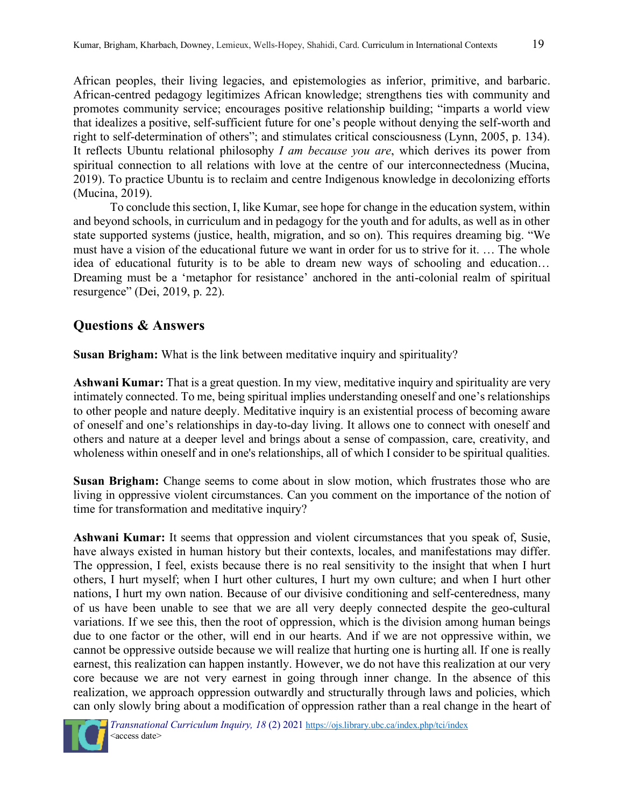African peoples, their living legacies, and epistemologies as inferior, primitive, and barbaric. African-centred pedagogy legitimizes African knowledge; strengthens ties with community and promotes community service; encourages positive relationship building; "imparts a world view that idealizes a positive, self-sufficient future for one's people without denying the self-worth and right to self-determination of others"; and stimulates critical consciousness (Lynn, 2005, p. 134). It reflects Ubuntu relational philosophy *I am because you are*, which derives its power from spiritual connection to all relations with love at the centre of our interconnectedness (Mucina, 2019). To practice Ubuntu is to reclaim and centre Indigenous knowledge in decolonizing efforts (Mucina, 2019).

To conclude this section, I, like Kumar, see hope for change in the education system, within and beyond schools, in curriculum and in pedagogy for the youth and for adults, as well as in other state supported systems (justice, health, migration, and so on). This requires dreaming big. "We must have a vision of the educational future we want in order for us to strive for it. … The whole idea of educational futurity is to be able to dream new ways of schooling and education… Dreaming must be a 'metaphor for resistance' anchored in the anti-colonial realm of spiritual resurgence" (Dei, 2019, p. 22).

### **Questions & Answers**

**Susan Brigham:** What is the link between meditative inquiry and spirituality?

**Ashwani Kumar:** That is a great question. In my view, meditative inquiry and spirituality are very intimately connected. To me, being spiritual implies understanding oneself and one's relationships to other people and nature deeply. Meditative inquiry is an existential process of becoming aware of oneself and one's relationships in day-to-day living. It allows one to connect with oneself and others and nature at a deeper level and brings about a sense of compassion, care, creativity, and wholeness within oneself and in one's relationships, all of which I consider to be spiritual qualities.

**Susan Brigham:** Change seems to come about in slow motion, which frustrates those who are living in oppressive violent circumstances. Can you comment on the importance of the notion of time for transformation and meditative inquiry?

**Ashwani Kumar:** It seems that oppression and violent circumstances that you speak of, Susie, have always existed in human history but their contexts, locales, and manifestations may differ. The oppression, I feel, exists because there is no real sensitivity to the insight that when I hurt others, I hurt myself; when I hurt other cultures, I hurt my own culture; and when I hurt other nations, I hurt my own nation. Because of our divisive conditioning and self-centeredness, many of us have been unable to see that we are all very deeply connected despite the geo-cultural variations. If we see this, then the root of oppression, which is the division among human beings due to one factor or the other, will end in our hearts. And if we are not oppressive within, we cannot be oppressive outside because we will realize that hurting one is hurting all. If one is really earnest, this realization can happen instantly. However, we do not have this realization at our very core because we are not very earnest in going through inner change. In the absence of this realization, we approach oppression outwardly and structurally through laws and policies, which can only slowly bring about a modification of oppression rather than a real change in the heart of

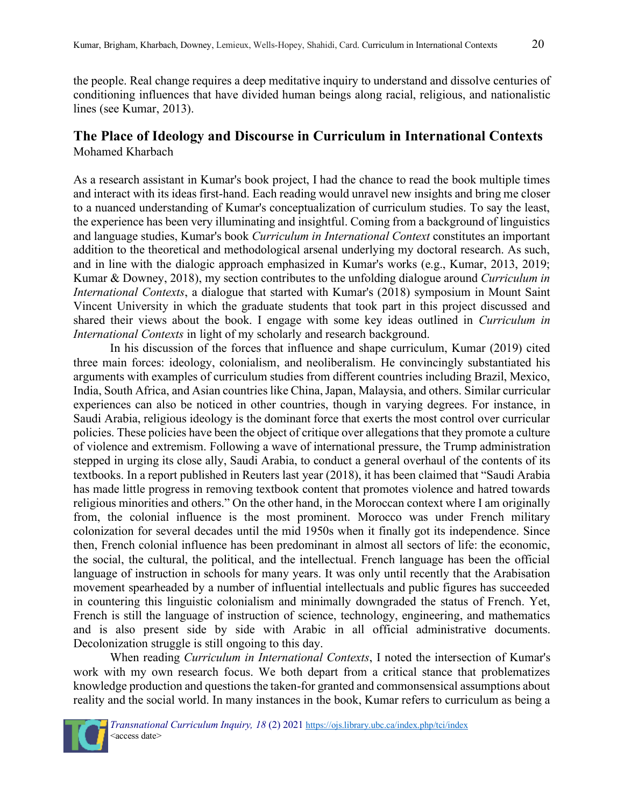# **The Place of Ideology and Discourse in Curriculum in International Contexts**

Mohamed Kharbach

As a research assistant in Kumar's book project, I had the chance to read the book multiple times and interact with its ideas first-hand. Each reading would unravel new insights and bring me closer to a nuanced understanding of Kumar's conceptualization of curriculum studies. To say the least, the experience has been very illuminating and insightful. Coming from a background of linguistics and language studies, Kumar's book *Curriculum in International Context* constitutes an important addition to the theoretical and methodological arsenal underlying my doctoral research. As such, and in line with the dialogic approach emphasized in Kumar's works (e.g., Kumar, 2013, 2019; Kumar & Downey, 2018), my section contributes to the unfolding dialogue around *Curriculum in International Contexts*, a dialogue that started with Kumar's (2018) symposium in Mount Saint Vincent University in which the graduate students that took part in this project discussed and shared their views about the book. I engage with some key ideas outlined in *Curriculum in International Contexts* in light of my scholarly and research background.

In his discussion of the forces that influence and shape curriculum, Kumar (2019) cited three main forces: ideology, colonialism, and neoliberalism. He convincingly substantiated his arguments with examples of curriculum studies from different countries including Brazil, Mexico, India, South Africa, and Asian countries like China, Japan, Malaysia, and others. Similar curricular experiences can also be noticed in other countries, though in varying degrees. For instance, in Saudi Arabia, religious ideology is the dominant force that exerts the most control over curricular policies. These policies have been the object of critique over allegations that they promote a culture of violence and extremism. Following a wave of international pressure, the Trump administration stepped in urging its close ally, Saudi Arabia, to conduct a general overhaul of the contents of its textbooks. In a report published in Reuters last year (2018), it has been claimed that "Saudi Arabia has made little progress in removing textbook content that promotes violence and hatred towards religious minorities and others." On the other hand, in the Moroccan context where I am originally from, the colonial influence is the most prominent. Morocco was under French military colonization for several decades until the mid 1950s when it finally got its independence. Since then, French colonial influence has been predominant in almost all sectors of life: the economic, the social, the cultural, the political, and the intellectual. French language has been the official language of instruction in schools for many years. It was only until recently that the Arabisation movement spearheaded by a number of influential intellectuals and public figures has succeeded in countering this linguistic colonialism and minimally downgraded the status of French. Yet, French is still the language of instruction of science, technology, engineering, and mathematics and is also present side by side with Arabic in all official administrative documents. Decolonization struggle is still ongoing to this day.

When reading *Curriculum in International Contexts*, I noted the intersection of Kumar's work with my own research focus. We both depart from a critical stance that problematizes knowledge production and questions the taken-for granted and commonsensical assumptions about reality and the social world. In many instances in the book, Kumar refers to curriculum as being a

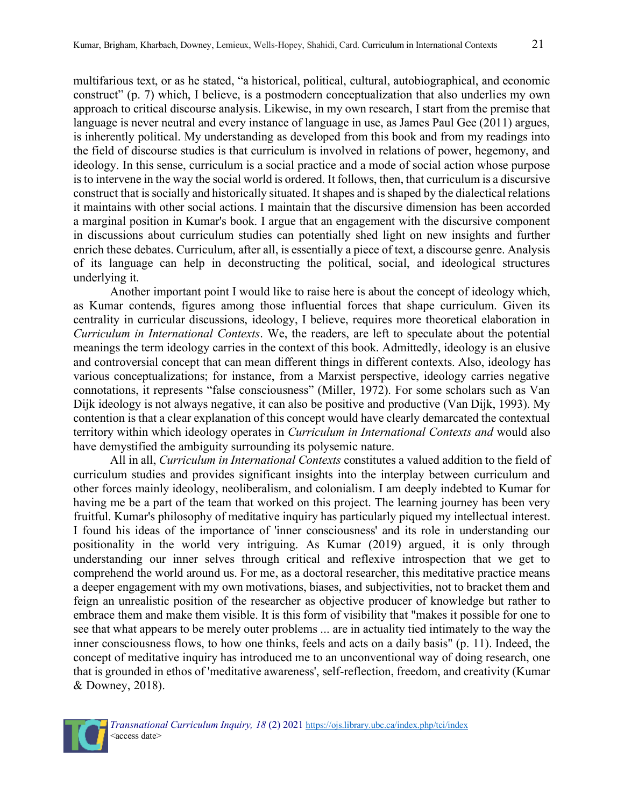multifarious text, or as he stated, "a historical, political, cultural, autobiographical, and economic construct" (p. 7) which, I believe, is a postmodern conceptualization that also underlies my own approach to critical discourse analysis. Likewise, in my own research, I start from the premise that language is never neutral and every instance of language in use, as James Paul Gee (2011) argues, is inherently political. My understanding as developed from this book and from my readings into the field of discourse studies is that curriculum is involved in relations of power, hegemony, and ideology. In this sense, curriculum is a social practice and a mode of social action whose purpose is to intervene in the way the social world is ordered. It follows, then, that curriculum is a discursive construct that is socially and historically situated. It shapes and is shaped by the dialectical relations it maintains with other social actions. I maintain that the discursive dimension has been accorded a marginal position in Kumar's book. I argue that an engagement with the discursive component in discussions about curriculum studies can potentially shed light on new insights and further enrich these debates. Curriculum, after all, is essentially a piece of text, a discourse genre. Analysis of its language can help in deconstructing the political, social, and ideological structures underlying it.

Another important point I would like to raise here is about the concept of ideology which, as Kumar contends, figures among those influential forces that shape curriculum. Given its centrality in curricular discussions, ideology, I believe, requires more theoretical elaboration in *Curriculum in International Contexts*. We, the readers, are left to speculate about the potential meanings the term ideology carries in the context of this book. Admittedly, ideology is an elusive and controversial concept that can mean different things in different contexts. Also, ideology has various conceptualizations; for instance, from a Marxist perspective, ideology carries negative connotations, it represents "false consciousness" (Miller, 1972). For some scholars such as Van Dijk ideology is not always negative, it can also be positive and productive (Van Dijk, 1993). My contention is that a clear explanation of this concept would have clearly demarcated the contextual territory within which ideology operates in *Curriculum in International Contexts and* would also have demystified the ambiguity surrounding its polysemic nature.

All in all, *Curriculum in International Contexts* constitutes a valued addition to the field of curriculum studies and provides significant insights into the interplay between curriculum and other forces mainly ideology, neoliberalism, and colonialism. I am deeply indebted to Kumar for having me be a part of the team that worked on this project. The learning journey has been very fruitful. Kumar's philosophy of meditative inquiry has particularly piqued my intellectual interest. I found his ideas of the importance of 'inner consciousness' and its role in understanding our positionality in the world very intriguing. As Kumar (2019) argued, it is only through understanding our inner selves through critical and reflexive introspection that we get to comprehend the world around us. For me, as a doctoral researcher, this meditative practice means a deeper engagement with my own motivations, biases, and subjectivities, not to bracket them and feign an unrealistic position of the researcher as objective producer of knowledge but rather to embrace them and make them visible. It is this form of visibility that "makes it possible for one to see that what appears to be merely outer problems ... are in actuality tied intimately to the way the inner consciousness flows, to how one thinks, feels and acts on a daily basis" (p. 11). Indeed, the concept of meditative inquiry has introduced me to an unconventional way of doing research, one that is grounded in ethos of 'meditative awareness', self-reflection, freedom, and creativity (Kumar & Downey, 2018).

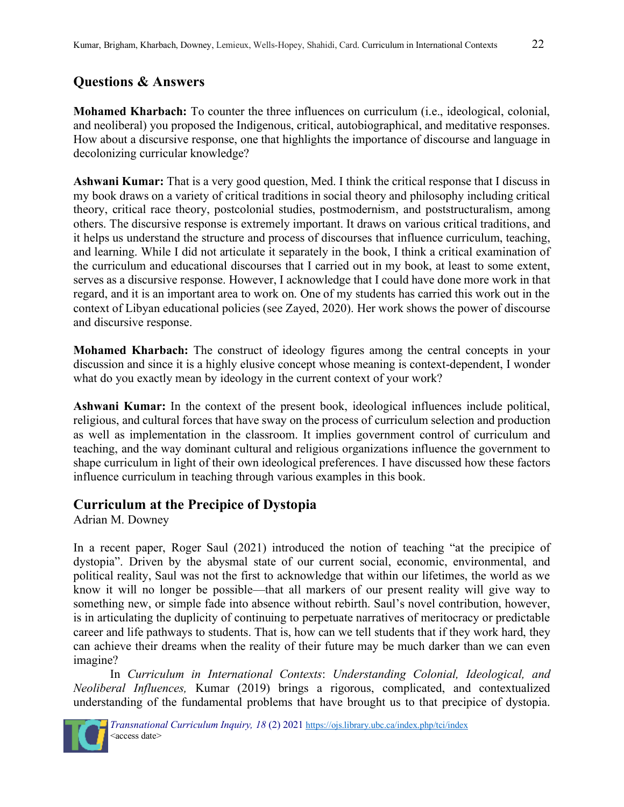# **Questions & Answers**

**Mohamed Kharbach:** To counter the three influences on curriculum (i.e., ideological, colonial, and neoliberal) you proposed the Indigenous, critical, autobiographical, and meditative responses. How about a discursive response, one that highlights the importance of discourse and language in decolonizing curricular knowledge?

**Ashwani Kumar:** That is a very good question, Med. I think the critical response that I discuss in my book draws on a variety of critical traditions in social theory and philosophy including critical theory, critical race theory, postcolonial studies, postmodernism, and poststructuralism, among others. The discursive response is extremely important. It draws on various critical traditions, and it helps us understand the structure and process of discourses that influence curriculum, teaching, and learning. While I did not articulate it separately in the book, I think a critical examination of the curriculum and educational discourses that I carried out in my book, at least to some extent, serves as a discursive response. However, I acknowledge that I could have done more work in that regard, and it is an important area to work on. One of my students has carried this work out in the context of Libyan educational policies (see Zayed, 2020). Her work shows the power of discourse and discursive response.

**Mohamed Kharbach:** The construct of ideology figures among the central concepts in your discussion and since it is a highly elusive concept whose meaning is context-dependent, I wonder what do you exactly mean by ideology in the current context of your work?

**Ashwani Kumar:** In the context of the present book, ideological influences include political, religious, and cultural forces that have sway on the process of curriculum selection and production as well as implementation in the classroom. It implies government control of curriculum and teaching, and the way dominant cultural and religious organizations influence the government to shape curriculum in light of their own ideological preferences. I have discussed how these factors influence curriculum in teaching through various examples in this book.

# **Curriculum at the Precipice of Dystopia**

Adrian M. Downey

In a recent paper, Roger Saul (2021) introduced the notion of teaching "at the precipice of dystopia". Driven by the abysmal state of our current social, economic, environmental, and political reality, Saul was not the first to acknowledge that within our lifetimes, the world as we know it will no longer be possible—that all markers of our present reality will give way to something new, or simple fade into absence without rebirth. Saul's novel contribution, however, is in articulating the duplicity of continuing to perpetuate narratives of meritocracy or predictable career and life pathways to students. That is, how can we tell students that if they work hard, they can achieve their dreams when the reality of their future may be much darker than we can even imagine?

In *Curriculum in International Contexts*: *Understanding Colonial, Ideological, and Neoliberal Influences,* Kumar (2019) brings a rigorous, complicated, and contextualized understanding of the fundamental problems that have brought us to that precipice of dystopia.

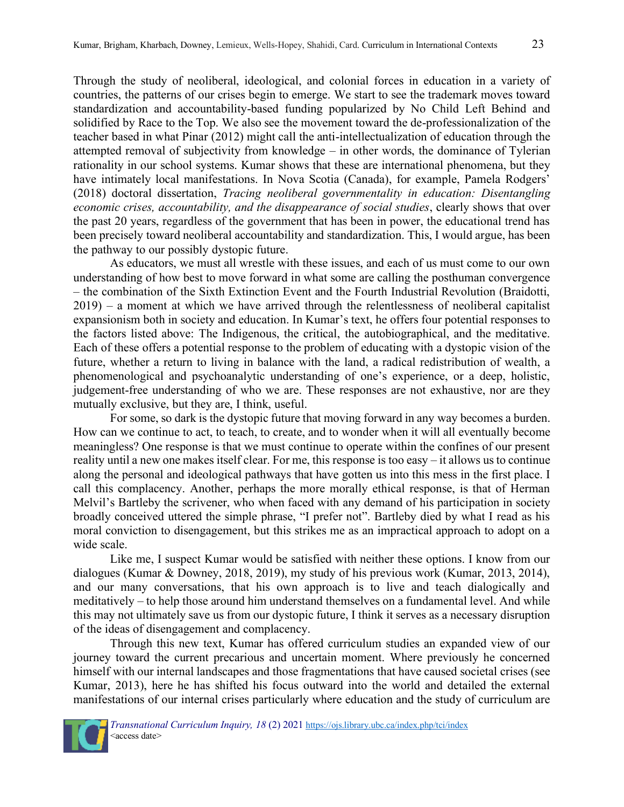Through the study of neoliberal, ideological, and colonial forces in education in a variety of countries, the patterns of our crises begin to emerge. We start to see the trademark moves toward standardization and accountability-based funding popularized by No Child Left Behind and solidified by Race to the Top. We also see the movement toward the de-professionalization of the teacher based in what Pinar (2012) might call the anti-intellectualization of education through the attempted removal of subjectivity from knowledge – in other words, the dominance of Tylerian rationality in our school systems. Kumar shows that these are international phenomena, but they have intimately local manifestations. In Nova Scotia (Canada), for example, Pamela Rodgers' (2018) doctoral dissertation, *Tracing neoliberal governmentality in education: Disentangling economic crises, accountability, and the disappearance of social studies*, clearly shows that over the past 20 years, regardless of the government that has been in power, the educational trend has been precisely toward neoliberal accountability and standardization. This, I would argue, has been the pathway to our possibly dystopic future.

As educators, we must all wrestle with these issues, and each of us must come to our own understanding of how best to move forward in what some are calling the posthuman convergence – the combination of the Sixth Extinction Event and the Fourth Industrial Revolution (Braidotti,  $2019$ ) – a moment at which we have arrived through the relentlessness of neoliberal capitalist expansionism both in society and education. In Kumar's text, he offers four potential responses to the factors listed above: The Indigenous, the critical, the autobiographical, and the meditative. Each of these offers a potential response to the problem of educating with a dystopic vision of the future, whether a return to living in balance with the land, a radical redistribution of wealth, a phenomenological and psychoanalytic understanding of one's experience, or a deep, holistic, judgement-free understanding of who we are. These responses are not exhaustive, nor are they mutually exclusive, but they are, I think, useful.

For some, so dark is the dystopic future that moving forward in any way becomes a burden. How can we continue to act, to teach, to create, and to wonder when it will all eventually become meaningless? One response is that we must continue to operate within the confines of our present reality until a new one makes itself clear. For me, this response is too easy – it allows us to continue along the personal and ideological pathways that have gotten us into this mess in the first place. I call this complacency. Another, perhaps the more morally ethical response, is that of Herman Melvil's Bartleby the scrivener, who when faced with any demand of his participation in society broadly conceived uttered the simple phrase, "I prefer not". Bartleby died by what I read as his moral conviction to disengagement, but this strikes me as an impractical approach to adopt on a wide scale.

Like me, I suspect Kumar would be satisfied with neither these options. I know from our dialogues (Kumar & Downey, 2018, 2019), my study of his previous work (Kumar, 2013, 2014), and our many conversations, that his own approach is to live and teach dialogically and meditatively – to help those around him understand themselves on a fundamental level. And while this may not ultimately save us from our dystopic future, I think it serves as a necessary disruption of the ideas of disengagement and complacency.

Through this new text, Kumar has offered curriculum studies an expanded view of our journey toward the current precarious and uncertain moment. Where previously he concerned himself with our internal landscapes and those fragmentations that have caused societal crises (see Kumar, 2013), here he has shifted his focus outward into the world and detailed the external manifestations of our internal crises particularly where education and the study of curriculum are

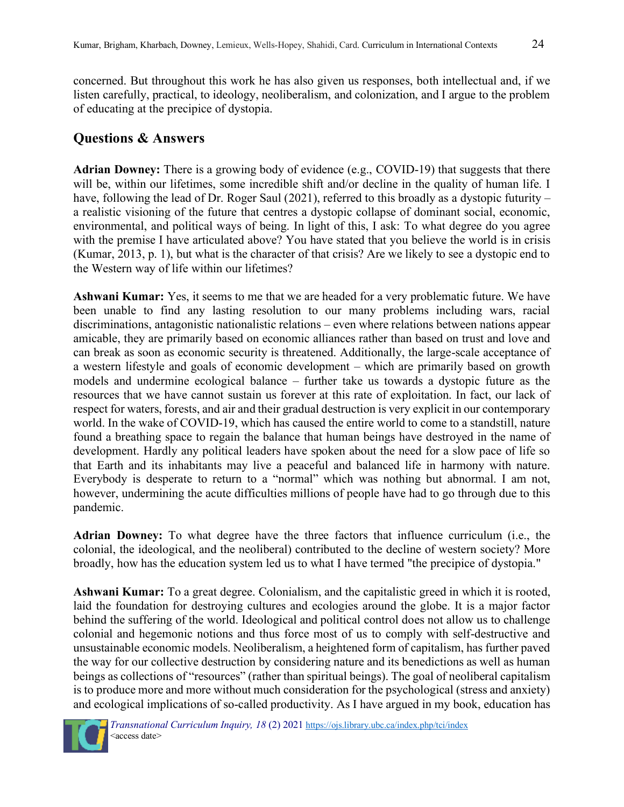concerned. But throughout this work he has also given us responses, both intellectual and, if we listen carefully, practical, to ideology, neoliberalism, and colonization, and I argue to the problem of educating at the precipice of dystopia.

# **Questions & Answers**

**Adrian Downey:** There is a growing body of evidence (e.g., COVID-19) that suggests that there will be, within our lifetimes, some incredible shift and/or decline in the quality of human life. I have, following the lead of Dr. Roger Saul (2021), referred to this broadly as a dystopic futurity – a realistic visioning of the future that centres a dystopic collapse of dominant social, economic, environmental, and political ways of being. In light of this, I ask: To what degree do you agree with the premise I have articulated above? You have stated that you believe the world is in crisis (Kumar, 2013, p. 1), but what is the character of that crisis? Are we likely to see a dystopic end to the Western way of life within our lifetimes?

**Ashwani Kumar:** Yes, it seems to me that we are headed for a very problematic future. We have been unable to find any lasting resolution to our many problems including wars, racial discriminations, antagonistic nationalistic relations – even where relations between nations appear amicable, they are primarily based on economic alliances rather than based on trust and love and can break as soon as economic security is threatened. Additionally, the large-scale acceptance of a western lifestyle and goals of economic development – which are primarily based on growth models and undermine ecological balance – further take us towards a dystopic future as the resources that we have cannot sustain us forever at this rate of exploitation. In fact, our lack of respect for waters, forests, and air and their gradual destruction is very explicit in our contemporary world. In the wake of COVID-19, which has caused the entire world to come to a standstill, nature found a breathing space to regain the balance that human beings have destroyed in the name of development. Hardly any political leaders have spoken about the need for a slow pace of life so that Earth and its inhabitants may live a peaceful and balanced life in harmony with nature. Everybody is desperate to return to a "normal" which was nothing but abnormal. I am not, however, undermining the acute difficulties millions of people have had to go through due to this pandemic.

**Adrian Downey:** To what degree have the three factors that influence curriculum (i.e., the colonial, the ideological, and the neoliberal) contributed to the decline of western society? More broadly, how has the education system led us to what I have termed "the precipice of dystopia."

**Ashwani Kumar:** To a great degree. Colonialism, and the capitalistic greed in which it is rooted, laid the foundation for destroying cultures and ecologies around the globe. It is a major factor behind the suffering of the world. Ideological and political control does not allow us to challenge colonial and hegemonic notions and thus force most of us to comply with self-destructive and unsustainable economic models. Neoliberalism, a heightened form of capitalism, has further paved the way for our collective destruction by considering nature and its benedictions as well as human beings as collections of "resources" (rather than spiritual beings). The goal of neoliberal capitalism is to produce more and more without much consideration for the psychological (stress and anxiety) and ecological implications of so-called productivity. As I have argued in my book, education has

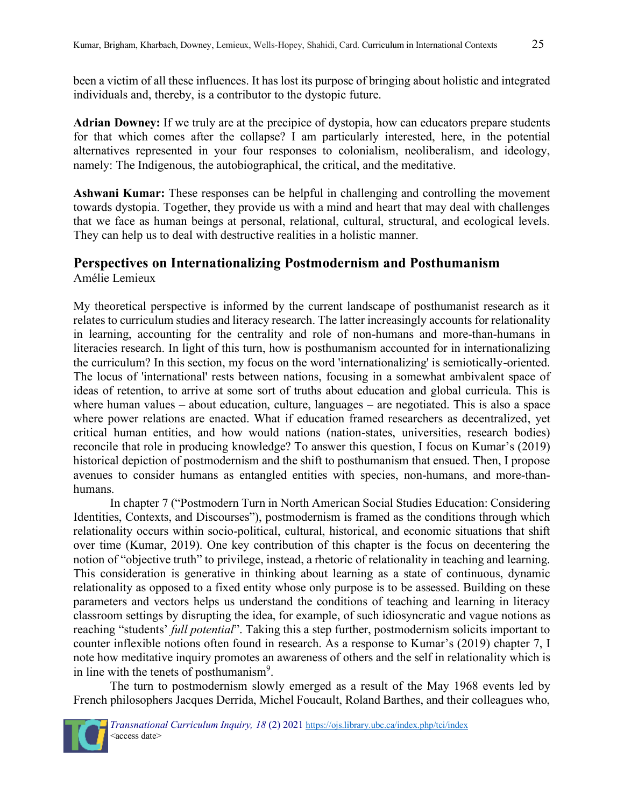been a victim of all these influences. It has lost its purpose of bringing about holistic and integrated individuals and, thereby, is a contributor to the dystopic future.

**Adrian Downey:** If we truly are at the precipice of dystopia, how can educators prepare students for that which comes after the collapse? I am particularly interested, here, in the potential alternatives represented in your four responses to colonialism, neoliberalism, and ideology, namely: The Indigenous, the autobiographical, the critical, and the meditative.

**Ashwani Kumar:** These responses can be helpful in challenging and controlling the movement towards dystopia. Together, they provide us with a mind and heart that may deal with challenges that we face as human beings at personal, relational, cultural, structural, and ecological levels. They can help us to deal with destructive realities in a holistic manner.

## **Perspectives on Internationalizing Postmodernism and Posthumanism** Amélie Lemieux

My theoretical perspective is informed by the current landscape of posthumanist research as it relates to curriculum studies and literacy research. The latter increasingly accounts for relationality in learning, accounting for the centrality and role of non-humans and more-than-humans in literacies research. In light of this turn, how is posthumanism accounted for in internationalizing the curriculum? In this section, my focus on the word 'internationalizing' is semiotically-oriented. The locus of 'international' rests between nations, focusing in a somewhat ambivalent space of ideas of retention, to arrive at some sort of truths about education and global curricula. This is where human values – about education, culture, languages – are negotiated. This is also a space where power relations are enacted. What if education framed researchers as decentralized, yet critical human entities, and how would nations (nation-states, universities, research bodies) reconcile that role in producing knowledge? To answer this question, I focus on Kumar's (2019) historical depiction of postmodernism and the shift to posthumanism that ensued. Then, I propose avenues to consider humans as entangled entities with species, non-humans, and more-thanhumans.

In chapter 7 ("Postmodern Turn in North American Social Studies Education: Considering Identities, Contexts, and Discourses"), postmodernism is framed as the conditions through which relationality occurs within socio-political, cultural, historical, and economic situations that shift over time (Kumar, 2019). One key contribution of this chapter is the focus on decentering the notion of "objective truth" to privilege, instead, a rhetoric of relationality in teaching and learning. This consideration is generative in thinking about learning as a state of continuous, dynamic relationality as opposed to a fixed entity whose only purpose is to be assessed. Building on these parameters and vectors helps us understand the conditions of teaching and learning in literacy classroom settings by disrupting the idea, for example, of such idiosyncratic and vague notions as reaching "students' *full potential*". Taking this a step further, postmodernism solicits important to counter inflexible notions often found in research. As a response to Kumar's (2019) chapter 7, I note how meditative inquiry promotes an awareness of others and the self in relationality which is in line with the tenets of posthumanism<sup>9</sup>.

The turn to postmodernism slowly emerged as a result of the May 1968 events led by French philosophers Jacques Derrida, Michel Foucault, Roland Barthes, and their colleagues who,

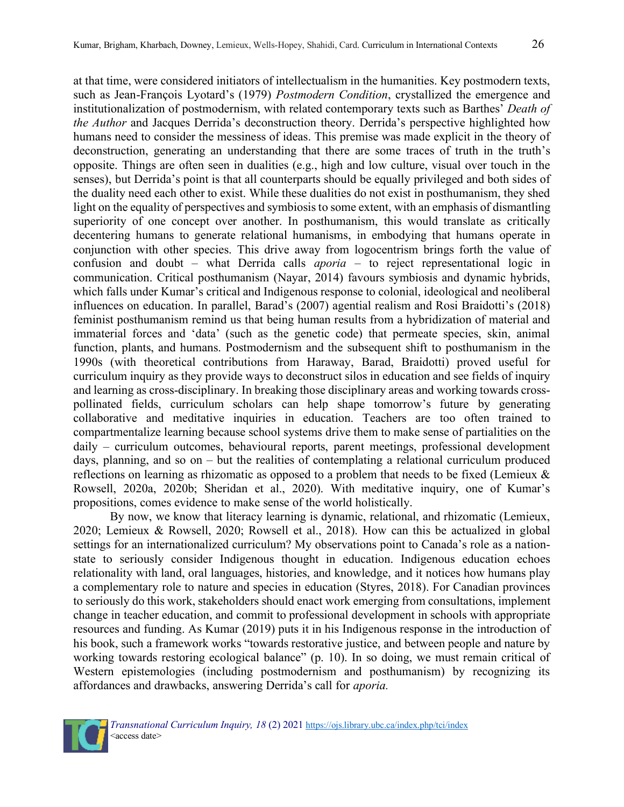at that time, were considered initiators of intellectualism in the humanities. Key postmodern texts, such as Jean-François Lyotard's (1979) *Postmodern Condition*, crystallized the emergence and institutionalization of postmodernism, with related contemporary texts such as Barthes' *Death of the Author* and Jacques Derrida's deconstruction theory. Derrida's perspective highlighted how humans need to consider the messiness of ideas. This premise was made explicit in the theory of deconstruction, generating an understanding that there are some traces of truth in the truth's opposite. Things are often seen in dualities (e.g., high and low culture, visual over touch in the senses), but Derrida's point is that all counterparts should be equally privileged and both sides of the duality need each other to exist. While these dualities do not exist in posthumanism, they shed light on the equality of perspectives and symbiosis to some extent, with an emphasis of dismantling superiority of one concept over another. In posthumanism, this would translate as critically decentering humans to generate relational humanisms, in embodying that humans operate in conjunction with other species. This drive away from logocentrism brings forth the value of confusion and doubt – what Derrida calls *aporia* – to reject representational logic in communication. Critical posthumanism (Nayar, 2014) favours symbiosis and dynamic hybrids, which falls under Kumar's critical and Indigenous response to colonial, ideological and neoliberal influences on education. In parallel, Barad's (2007) agential realism and Rosi Braidotti's (2018) feminist posthumanism remind us that being human results from a hybridization of material and immaterial forces and 'data' (such as the genetic code) that permeate species, skin, animal function, plants, and humans. Postmodernism and the subsequent shift to posthumanism in the 1990s (with theoretical contributions from Haraway, Barad, Braidotti) proved useful for curriculum inquiry as they provide ways to deconstruct silos in education and see fields of inquiry and learning as cross-disciplinary. In breaking those disciplinary areas and working towards crosspollinated fields, curriculum scholars can help shape tomorrow's future by generating collaborative and meditative inquiries in education. Teachers are too often trained to compartmentalize learning because school systems drive them to make sense of partialities on the daily – curriculum outcomes, behavioural reports, parent meetings, professional development days, planning, and so on – but the realities of contemplating a relational curriculum produced reflections on learning as rhizomatic as opposed to a problem that needs to be fixed (Lemieux & Rowsell, 2020a, 2020b; Sheridan et al., 2020). With meditative inquiry, one of Kumar's propositions, comes evidence to make sense of the world holistically.

By now, we know that literacy learning is dynamic, relational, and rhizomatic (Lemieux, 2020; Lemieux & Rowsell, 2020; Rowsell et al., 2018). How can this be actualized in global settings for an internationalized curriculum? My observations point to Canada's role as a nationstate to seriously consider Indigenous thought in education. Indigenous education echoes relationality with land, oral languages, histories, and knowledge, and it notices how humans play a complementary role to nature and species in education (Styres, 2018). For Canadian provinces to seriously do this work, stakeholders should enact work emerging from consultations, implement change in teacher education, and commit to professional development in schools with appropriate resources and funding. As Kumar (2019) puts it in his Indigenous response in the introduction of his book, such a framework works "towards restorative justice, and between people and nature by working towards restoring ecological balance" (p. 10). In so doing, we must remain critical of Western epistemologies (including postmodernism and posthumanism) by recognizing its affordances and drawbacks, answering Derrida's call for *aporia.*

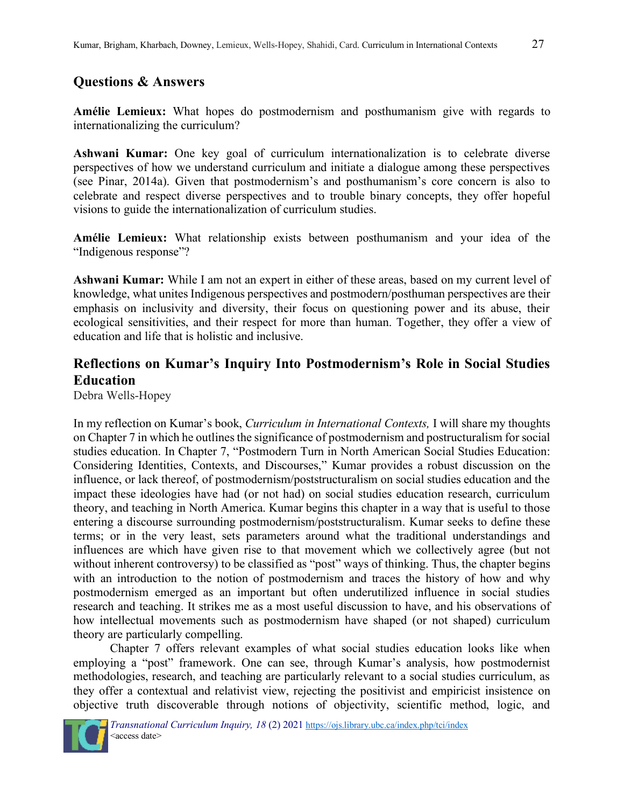## **Questions & Answers**

**Amélie Lemieux:** What hopes do postmodernism and posthumanism give with regards to internationalizing the curriculum?

**Ashwani Kumar:** One key goal of curriculum internationalization is to celebrate diverse perspectives of how we understand curriculum and initiate a dialogue among these perspectives (see Pinar, 2014a). Given that postmodernism's and posthumanism's core concern is also to celebrate and respect diverse perspectives and to trouble binary concepts, they offer hopeful visions to guide the internationalization of curriculum studies.

**Amélie Lemieux:** What relationship exists between posthumanism and your idea of the "Indigenous response"?

**Ashwani Kumar:** While I am not an expert in either of these areas, based on my current level of knowledge, what unites Indigenous perspectives and postmodern/posthuman perspectives are their emphasis on inclusivity and diversity, their focus on questioning power and its abuse, their ecological sensitivities, and their respect for more than human. Together, they offer a view of education and life that is holistic and inclusive.

# **Reflections on Kumar's Inquiry Into Postmodernism's Role in Social Studies Education**

Debra Wells-Hopey

In my reflection on Kumar's book, *Curriculum in International Contexts,* I will share my thoughts on Chapter 7 in which he outlines the significance of postmodernism and postructuralism for social studies education. In Chapter 7, "Postmodern Turn in North American Social Studies Education: Considering Identities, Contexts, and Discourses," Kumar provides a robust discussion on the influence, or lack thereof, of postmodernism/poststructuralism on social studies education and the impact these ideologies have had (or not had) on social studies education research, curriculum theory, and teaching in North America. Kumar begins this chapter in a way that is useful to those entering a discourse surrounding postmodernism/poststructuralism. Kumar seeks to define these terms; or in the very least, sets parameters around what the traditional understandings and influences are which have given rise to that movement which we collectively agree (but not without inherent controversy) to be classified as "post" ways of thinking. Thus, the chapter begins with an introduction to the notion of postmodernism and traces the history of how and why postmodernism emerged as an important but often underutilized influence in social studies research and teaching. It strikes me as a most useful discussion to have, and his observations of how intellectual movements such as postmodernism have shaped (or not shaped) curriculum theory are particularly compelling.

Chapter 7 offers relevant examples of what social studies education looks like when employing a "post" framework. One can see, through Kumar's analysis, how postmodernist methodologies, research, and teaching are particularly relevant to a social studies curriculum, as they offer a contextual and relativist view, rejecting the positivist and empiricist insistence on objective truth discoverable through notions of objectivity, scientific method, logic, and

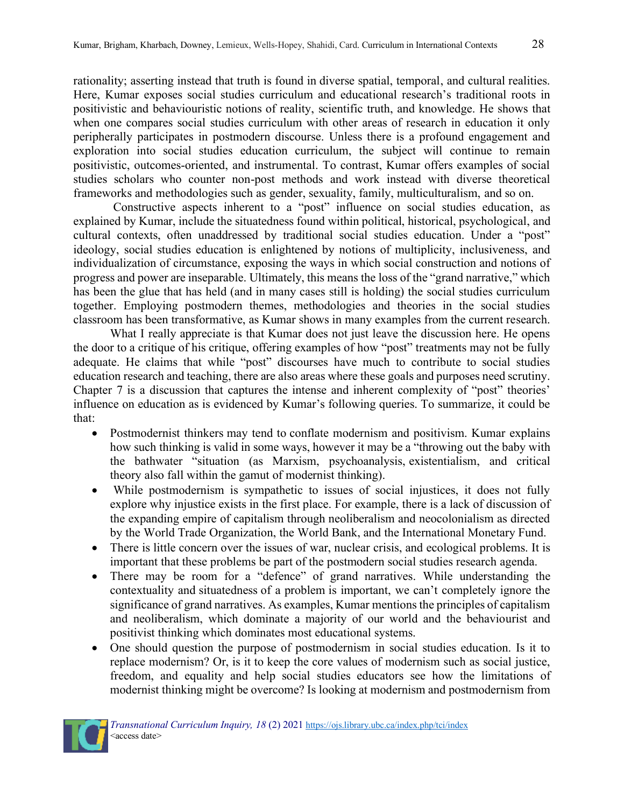rationality; asserting instead that truth is found in diverse spatial, temporal, and cultural realities. Here, Kumar exposes social studies curriculum and educational research's traditional roots in positivistic and behaviouristic notions of reality, scientific truth, and knowledge. He shows that when one compares social studies curriculum with other areas of research in education it only peripherally participates in postmodern discourse. Unless there is a profound engagement and exploration into social studies education curriculum, the subject will continue to remain positivistic, outcomes-oriented, and instrumental. To contrast, Kumar offers examples of social studies scholars who counter non-post methods and work instead with diverse theoretical frameworks and methodologies such as gender, sexuality, family, multiculturalism, and so on.

Constructive aspects inherent to a "post" influence on social studies education, as explained by Kumar, include the situatedness found within political, historical, psychological, and cultural contexts, often unaddressed by traditional social studies education. Under a "post" ideology, social studies education is enlightened by notions of multiplicity, inclusiveness, and individualization of circumstance, exposing the ways in which social construction and notions of progress and power are inseparable. Ultimately, this means the loss of the "grand narrative," which has been the glue that has held (and in many cases still is holding) the social studies curriculum together. Employing postmodern themes, methodologies and theories in the social studies classroom has been transformative, as Kumar shows in many examples from the current research.

What I really appreciate is that Kumar does not just leave the discussion here. He opens the door to a critique of his critique, offering examples of how "post" treatments may not be fully adequate. He claims that while "post" discourses have much to contribute to social studies education research and teaching, there are also areas where these goals and purposes need scrutiny. Chapter 7 is a discussion that captures the intense and inherent complexity of "post" theories' influence on education as is evidenced by Kumar's following queries. To summarize, it could be that:

- Postmodernist thinkers may tend to conflate modernism and positivism. Kumar explains how such thinking is valid in some ways, however it may be a "throwing out the baby with the bathwater "situation (as Marxism, psychoanalysis, existentialism, and critical theory also fall within the gamut of modernist thinking).
- While postmodernism is sympathetic to issues of social injustices, it does not fully explore why injustice exists in the first place. For example, there is a lack of discussion of the expanding empire of capitalism through neoliberalism and neocolonialism as directed by the World Trade Organization, the World Bank, and the International Monetary Fund.
- There is little concern over the issues of war, nuclear crisis, and ecological problems. It is important that these problems be part of the postmodern social studies research agenda.
- There may be room for a "defence" of grand narratives. While understanding the contextuality and situatedness of a problem is important, we can't completely ignore the significance of grand narratives. As examples, Kumar mentions the principles of capitalism and neoliberalism, which dominate a majority of our world and the behaviourist and positivist thinking which dominates most educational systems.
- One should question the purpose of postmodernism in social studies education. Is it to replace modernism? Or, is it to keep the core values of modernism such as social justice, freedom, and equality and help social studies educators see how the limitations of modernist thinking might be overcome? Is looking at modernism and postmodernism from

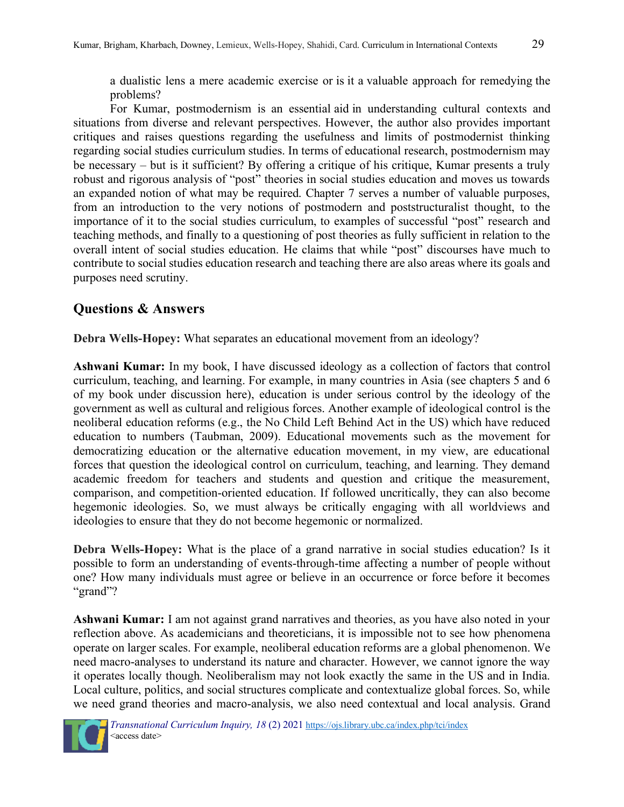a dualistic lens a mere academic exercise or is it a valuable approach for remedying the problems?

For Kumar, postmodernism is an essential aid in understanding cultural contexts and situations from diverse and relevant perspectives. However, the author also provides important critiques and raises questions regarding the usefulness and limits of postmodernist thinking regarding social studies curriculum studies. In terms of educational research, postmodernism may be necessary – but is it sufficient? By offering a critique of his critique, Kumar presents a truly robust and rigorous analysis of "post" theories in social studies education and moves us towards an expanded notion of what may be required. Chapter 7 serves a number of valuable purposes, from an introduction to the very notions of postmodern and poststructuralist thought, to the importance of it to the social studies curriculum, to examples of successful "post" research and teaching methods, and finally to a questioning of post theories as fully sufficient in relation to the overall intent of social studies education. He claims that while "post" discourses have much to contribute to social studies education research and teaching there are also areas where its goals and purposes need scrutiny.

# **Questions & Answers**

**Debra Wells-Hopey:** What separates an educational movement from an ideology?

**Ashwani Kumar:** In my book, I have discussed ideology as a collection of factors that control curriculum, teaching, and learning. For example, in many countries in Asia (see chapters 5 and 6 of my book under discussion here), education is under serious control by the ideology of the government as well as cultural and religious forces. Another example of ideological control is the neoliberal education reforms (e.g., the No Child Left Behind Act in the US) which have reduced education to numbers (Taubman, 2009). Educational movements such as the movement for democratizing education or the alternative education movement, in my view, are educational forces that question the ideological control on curriculum, teaching, and learning. They demand academic freedom for teachers and students and question and critique the measurement, comparison, and competition-oriented education. If followed uncritically, they can also become hegemonic ideologies. So, we must always be critically engaging with all worldviews and ideologies to ensure that they do not become hegemonic or normalized.

**Debra Wells-Hopey:** What is the place of a grand narrative in social studies education? Is it possible to form an understanding of events-through-time affecting a number of people without one? How many individuals must agree or believe in an occurrence or force before it becomes "grand"?

**Ashwani Kumar:** I am not against grand narratives and theories, as you have also noted in your reflection above. As academicians and theoreticians, it is impossible not to see how phenomena operate on larger scales. For example, neoliberal education reforms are a global phenomenon. We need macro-analyses to understand its nature and character. However, we cannot ignore the way it operates locally though. Neoliberalism may not look exactly the same in the US and in India. Local culture, politics, and social structures complicate and contextualize global forces. So, while we need grand theories and macro-analysis, we also need contextual and local analysis. Grand

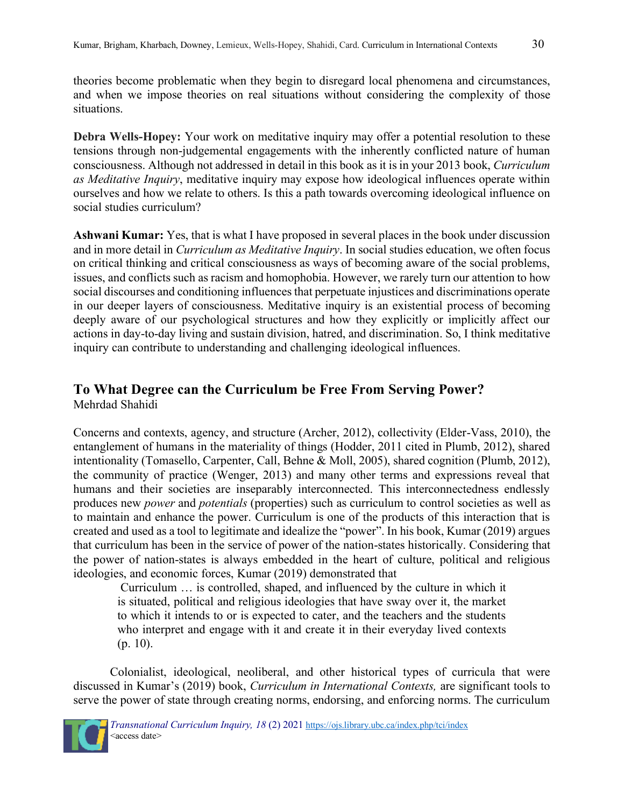theories become problematic when they begin to disregard local phenomena and circumstances, and when we impose theories on real situations without considering the complexity of those situations.

**Debra Wells-Hopey:** Your work on meditative inquiry may offer a potential resolution to these tensions through non-judgemental engagements with the inherently conflicted nature of human consciousness. Although not addressed in detail in this book as it is in your 2013 book, *Curriculum as Meditative Inquiry*, meditative inquiry may expose how ideological influences operate within ourselves and how we relate to others. Is this a path towards overcoming ideological influence on social studies curriculum?

**Ashwani Kumar:** Yes, that is what I have proposed in several places in the book under discussion and in more detail in *Curriculum as Meditative Inquiry*. In social studies education, we often focus on critical thinking and critical consciousness as ways of becoming aware of the social problems, issues, and conflicts such as racism and homophobia. However, we rarely turn our attention to how social discourses and conditioning influences that perpetuate injustices and discriminations operate in our deeper layers of consciousness. Meditative inquiry is an existential process of becoming deeply aware of our psychological structures and how they explicitly or implicitly affect our actions in day-to-day living and sustain division, hatred, and discrimination. So, I think meditative inquiry can contribute to understanding and challenging ideological influences.

# **To What Degree can the Curriculum be Free From Serving Power?**

Mehrdad Shahidi

Concerns and contexts, agency, and structure (Archer, 2012), collectivity (Elder-Vass, 2010), the entanglement of humans in the materiality of things (Hodder, 2011 cited in Plumb, 2012), shared intentionality (Tomasello, Carpenter, Call, Behne & Moll, 2005), shared cognition (Plumb, 2012), the community of practice (Wenger, 2013) and many other terms and expressions reveal that humans and their societies are inseparably interconnected. This interconnectedness endlessly produces new *power* and *potentials* (properties) such as curriculum to control societies as well as to maintain and enhance the power. Curriculum is one of the products of this interaction that is created and used as a tool to legitimate and idealize the "power". In his book, Kumar (2019) argues that curriculum has been in the service of power of the nation-states historically. Considering that the power of nation-states is always embedded in the heart of culture, political and religious ideologies, and economic forces, Kumar (2019) demonstrated that

Curriculum … is controlled, shaped, and influenced by the culture in which it is situated, political and religious ideologies that have sway over it, the market to which it intends to or is expected to cater, and the teachers and the students who interpret and engage with it and create it in their everyday lived contexts (p. 10).

Colonialist, ideological, neoliberal, and other historical types of curricula that were discussed in Kumar's (2019) book, *Curriculum in International Contexts,* are significant tools to serve the power of state through creating norms, endorsing, and enforcing norms. The curriculum

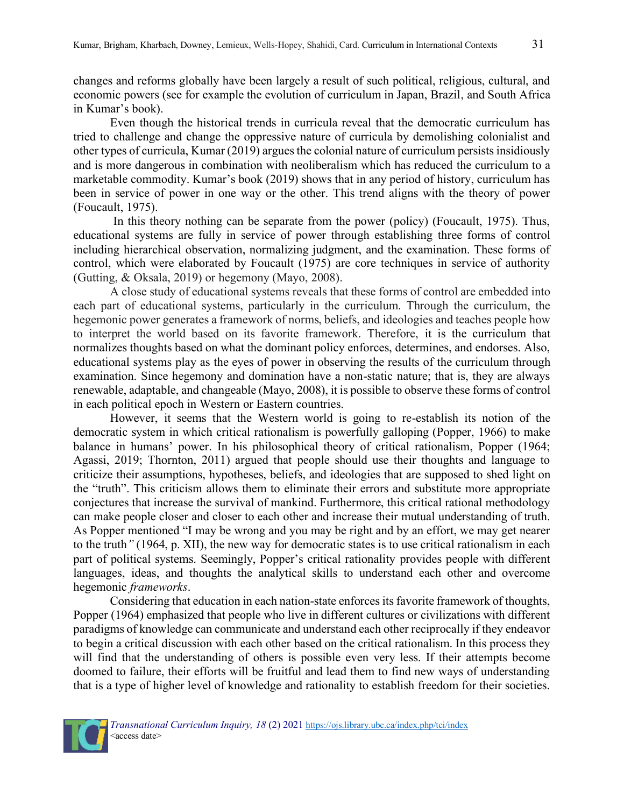changes and reforms globally have been largely a result of such political, religious, cultural, and economic powers (see for example the evolution of curriculum in Japan, Brazil, and South Africa in Kumar's book).

Even though the historical trends in curricula reveal that the democratic curriculum has tried to challenge and change the oppressive nature of curricula by demolishing colonialist and other types of curricula, Kumar (2019) argues the colonial nature of curriculum persists insidiously and is more dangerous in combination with neoliberalism which has reduced the curriculum to a marketable commodity. Kumar's book (2019) shows that in any period of history, curriculum has been in service of power in one way or the other. This trend aligns with the theory of power (Foucault, 1975).

In this theory nothing can be separate from the power (policy) (Foucault, 1975). Thus, educational systems are fully in service of power through establishing three forms of control including hierarchical observation, normalizing judgment, and the examination. These forms of control, which were elaborated by Foucault (1975) are core techniques in service of authority (Gutting, & Oksala, 2019) or hegemony (Mayo, 2008).

A close study of educational systems reveals that these forms of control are embedded into each part of educational systems, particularly in the curriculum. Through the curriculum, the hegemonic power generates a framework of norms, beliefs, and ideologies and teaches people how to interpret the world based on its favorite framework. Therefore, it is the curriculum that normalizes thoughts based on what the dominant policy enforces, determines, and endorses. Also, educational systems play as the eyes of power in observing the results of the curriculum through examination. Since hegemony and domination have a non-static nature; that is, they are always renewable, adaptable, and changeable (Mayo, 2008), it is possible to observe these forms of control in each political epoch in Western or Eastern countries.

However, it seems that the Western world is going to re-establish its notion of the democratic system in which critical rationalism is powerfully galloping (Popper, 1966) to make balance in humans' power. In his philosophical theory of critical rationalism, Popper (1964; Agassi, 2019; Thornton, 2011) argued that people should use their thoughts and language to criticize their assumptions, hypotheses, beliefs, and ideologies that are supposed to shed light on the "truth". This criticism allows them to eliminate their errors and substitute more appropriate conjectures that increase the survival of mankind. Furthermore, this critical rational methodology can make people closer and closer to each other and increase their mutual understanding of truth. As Popper mentioned "I may be wrong and you may be right and by an effort, we may get nearer to the truth*"* (1964, p. XII), the new way for democratic states is to use critical rationalism in each part of political systems. Seemingly, Popper's critical rationality provides people with different languages, ideas, and thoughts the analytical skills to understand each other and overcome hegemonic *frameworks*.

Considering that education in each nation-state enforces its favorite framework of thoughts, Popper (1964) emphasized that people who live in different cultures or civilizations with different paradigms of knowledge can communicate and understand each other reciprocally if they endeavor to begin a critical discussion with each other based on the critical rationalism. In this process they will find that the understanding of others is possible even very less. If their attempts become doomed to failure, their efforts will be fruitful and lead them to find new ways of understanding that is a type of higher level of knowledge and rationality to establish freedom for their societies.

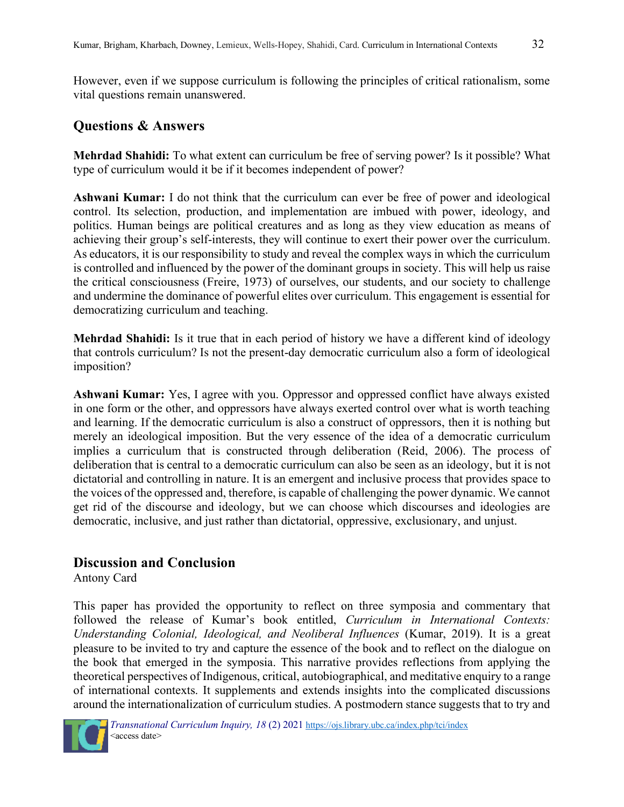However, even if we suppose curriculum is following the principles of critical rationalism, some vital questions remain unanswered.

#### **Questions & Answers**

**Mehrdad Shahidi:** To what extent can curriculum be free of serving power? Is it possible? What type of curriculum would it be if it becomes independent of power?

**Ashwani Kumar:** I do not think that the curriculum can ever be free of power and ideological control. Its selection, production, and implementation are imbued with power, ideology, and politics. Human beings are political creatures and as long as they view education as means of achieving their group's self-interests, they will continue to exert their power over the curriculum. As educators, it is our responsibility to study and reveal the complex ways in which the curriculum is controlled and influenced by the power of the dominant groups in society. This will help us raise the critical consciousness (Freire, 1973) of ourselves, our students, and our society to challenge and undermine the dominance of powerful elites over curriculum. This engagement is essential for democratizing curriculum and teaching.

**Mehrdad Shahidi:** Is it true that in each period of history we have a different kind of ideology that controls curriculum? Is not the present-day democratic curriculum also a form of ideological imposition?

**Ashwani Kumar:** Yes, I agree with you. Oppressor and oppressed conflict have always existed in one form or the other, and oppressors have always exerted control over what is worth teaching and learning. If the democratic curriculum is also a construct of oppressors, then it is nothing but merely an ideological imposition. But the very essence of the idea of a democratic curriculum implies a curriculum that is constructed through deliberation (Reid, 2006). The process of deliberation that is central to a democratic curriculum can also be seen as an ideology, but it is not dictatorial and controlling in nature. It is an emergent and inclusive process that provides space to the voices of the oppressed and, therefore, is capable of challenging the power dynamic. We cannot get rid of the discourse and ideology, but we can choose which discourses and ideologies are democratic, inclusive, and just rather than dictatorial, oppressive, exclusionary, and unjust.

#### **Discussion and Conclusion**

Antony Card

This paper has provided the opportunity to reflect on three symposia and commentary that followed the release of Kumar's book entitled, *Curriculum in International Contexts: Understanding Colonial, Ideological, and Neoliberal Influences* (Kumar, 2019). It is a great pleasure to be invited to try and capture the essence of the book and to reflect on the dialogue on the book that emerged in the symposia. This narrative provides reflections from applying the theoretical perspectives of Indigenous, critical, autobiographical, and meditative enquiry to a range of international contexts. It supplements and extends insights into the complicated discussions around the internationalization of curriculum studies. A postmodern stance suggests that to try and

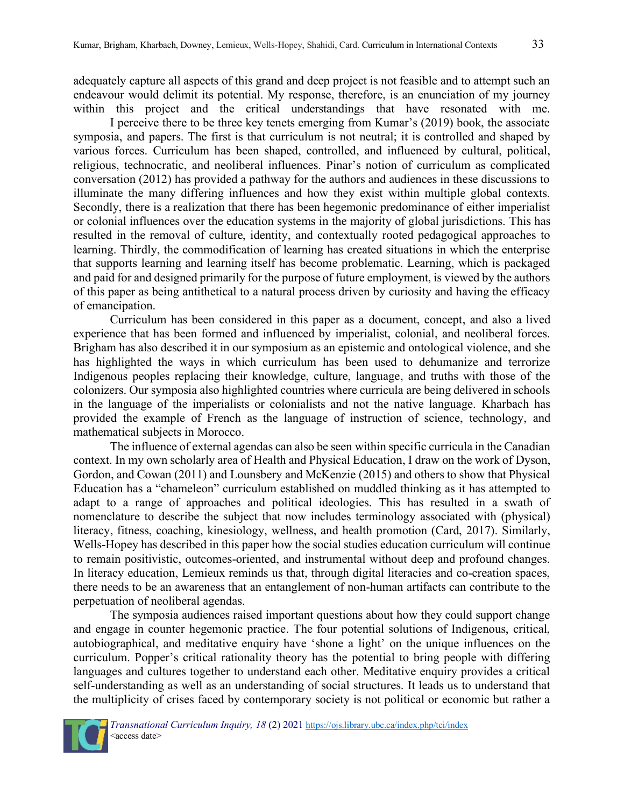adequately capture all aspects of this grand and deep project is not feasible and to attempt such an endeavour would delimit its potential. My response, therefore, is an enunciation of my journey within this project and the critical understandings that have resonated with me.

I perceive there to be three key tenets emerging from Kumar's (2019) book, the associate symposia, and papers. The first is that curriculum is not neutral; it is controlled and shaped by various forces. Curriculum has been shaped, controlled, and influenced by cultural, political, religious, technocratic, and neoliberal influences. Pinar's notion of curriculum as complicated conversation (2012) has provided a pathway for the authors and audiences in these discussions to illuminate the many differing influences and how they exist within multiple global contexts. Secondly, there is a realization that there has been hegemonic predominance of either imperialist or colonial influences over the education systems in the majority of global jurisdictions. This has resulted in the removal of culture, identity, and contextually rooted pedagogical approaches to learning. Thirdly, the commodification of learning has created situations in which the enterprise that supports learning and learning itself has become problematic. Learning, which is packaged and paid for and designed primarily for the purpose of future employment, is viewed by the authors of this paper as being antithetical to a natural process driven by curiosity and having the efficacy of emancipation.

Curriculum has been considered in this paper as a document, concept, and also a lived experience that has been formed and influenced by imperialist, colonial, and neoliberal forces. Brigham has also described it in our symposium as an epistemic and ontological violence, and she has highlighted the ways in which curriculum has been used to dehumanize and terrorize Indigenous peoples replacing their knowledge, culture, language, and truths with those of the colonizers. Our symposia also highlighted countries where curricula are being delivered in schools in the language of the imperialists or colonialists and not the native language. Kharbach has provided the example of French as the language of instruction of science, technology, and mathematical subjects in Morocco.

The influence of external agendas can also be seen within specific curricula in the Canadian context. In my own scholarly area of Health and Physical Education, I draw on the work of Dyson, Gordon, and Cowan (2011) and Lounsbery and McKenzie (2015) and others to show that Physical Education has a "chameleon" curriculum established on muddled thinking as it has attempted to adapt to a range of approaches and political ideologies. This has resulted in a swath of nomenclature to describe the subject that now includes terminology associated with (physical) literacy, fitness, coaching, kinesiology, wellness, and health promotion (Card, 2017). Similarly, Wells-Hopey has described in this paper how the social studies education curriculum will continue to remain positivistic, outcomes-oriented, and instrumental without deep and profound changes. In literacy education, Lemieux reminds us that, through digital literacies and co-creation spaces, there needs to be an awareness that an entanglement of non-human artifacts can contribute to the perpetuation of neoliberal agendas.

The symposia audiences raised important questions about how they could support change and engage in counter hegemonic practice. The four potential solutions of Indigenous, critical, autobiographical, and meditative enquiry have 'shone a light' on the unique influences on the curriculum. Popper's critical rationality theory has the potential to bring people with differing languages and cultures together to understand each other. Meditative enquiry provides a critical self-understanding as well as an understanding of social structures. It leads us to understand that the multiplicity of crises faced by contemporary society is not political or economic but rather a

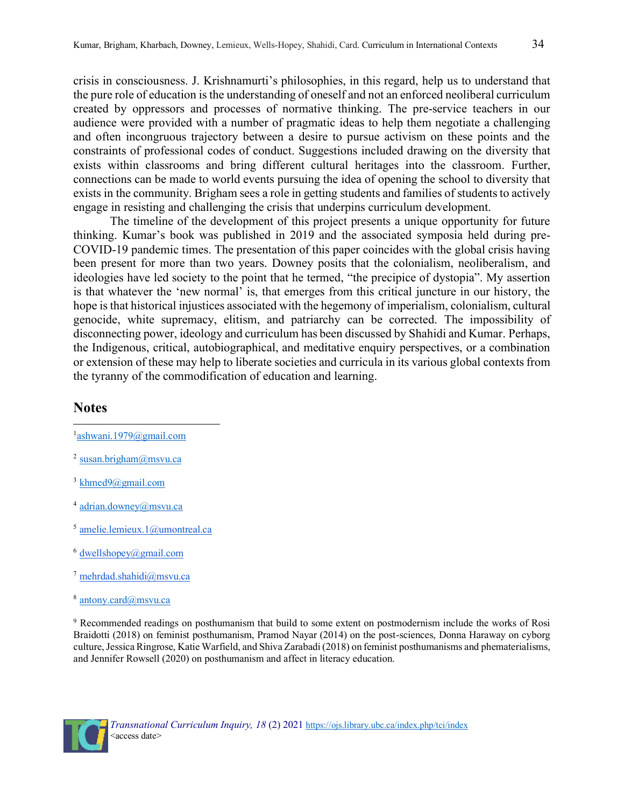crisis in consciousness. J. Krishnamurti's philosophies, in this regard, help us to understand that the pure role of education is the understanding of oneself and not an enforced neoliberal curriculum created by oppressors and processes of normative thinking. The pre-service teachers in our audience were provided with a number of pragmatic ideas to help them negotiate a challenging and often incongruous trajectory between a desire to pursue activism on these points and the constraints of professional codes of conduct. Suggestions included drawing on the diversity that exists within classrooms and bring different cultural heritages into the classroom. Further, connections can be made to world events pursuing the idea of opening the school to diversity that exists in the community. Brigham sees a role in getting students and families of students to actively engage in resisting and challenging the crisis that underpins curriculum development.

The timeline of the development of this project presents a unique opportunity for future thinking. Kumar's book was published in 2019 and the associated symposia held during pre-COVID-19 pandemic times. The presentation of this paper coincides with the global crisis having been present for more than two years. Downey posits that the colonialism, neoliberalism, and ideologies have led society to the point that he termed, "the precipice of dystopia". My assertion is that whatever the 'new normal' is, that emerges from this critical juncture in our history, the hope is that historical injustices associated with the hegemony of imperialism, colonialism, cultural genocide, white supremacy, elitism, and patriarchy can be corrected. The impossibility of disconnecting power, ideology and curriculum has been discussed by Shahidi and Kumar. Perhaps, the Indigenous, critical, autobiographical, and meditative enquiry perspectives, or a combination or extension of these may help to liberate societies and curricula in its various global contexts from the tyranny of the commodification of education and learning.

#### **Notes**

- <sup>1</sup>[ashwani.1979@gmail.com](mailto:ashwani.1979@gmail.com)
- <sup>2</sup> [susan.brigham@msvu.ca](mailto:susan.brigham@msvu.ca)
- $3$  khmed $9$ @gmail.com
- <sup>4</sup> [adrian.downey@msvu.ca](mailto:adrian.downey@msvu.ca)
- <sup>5</sup> [amelie.lemieux.1@umontreal.ca](mailto:amelie.lemieux.1@umontreal.ca)
- $6$  dwellshopey $(a)$ gmail.com
- <sup>7</sup> [mehrdad.shahidi@msvu.ca](mailto:mehrdad.shahidi@msvu.ca)
- <sup>8</sup> [antony.card@msvu.ca](mailto:antony.card@msvu.ca)

<sup>9</sup> Recommended readings on posthumanism that build to some extent on postmodernism include the works of Rosi Braidotti (2018) on feminist posthumanism, Pramod Nayar (2014) on the post-sciences, Donna Haraway on cyborg culture, Jessica Ringrose, Katie Warfield, and Shiva Zarabadi (2018) on feminist posthumanisms and phematerialisms, and Jennifer Rowsell (2020) on posthumanism and affect in literacy education.

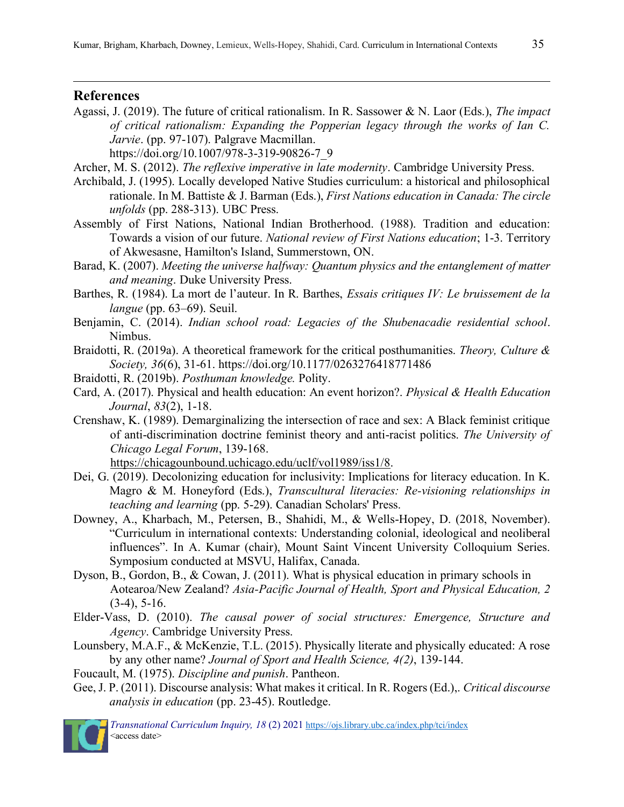#### **References**

Agassi, J. (2019). The future of critical rationalism. In R. Sassower & N. Laor (Eds.), *The impact of critical rationalism: Expanding the Popperian legacy through the works of Ian C. Jarvie*. (pp. 97-107). Palgrave Macmillan.

https://doi.org/10.1007/978-3-319-90826-7\_9

- Archer, M. S. (2012). *The reflexive imperative in late modernity*. Cambridge University Press.
- Archibald, J. (1995). Locally developed Native Studies curriculum: a historical and philosophical rationale. In M. Battiste & J. Barman (Eds.), *First Nations education in Canada: The circle unfolds* (pp. 288-313). UBC Press.
- Assembly of First Nations, National Indian Brotherhood. (1988). Tradition and education: Towards a vision of our future. *National review of First Nations education*; 1-3. Territory of Akwesasne, Hamilton's Island, Summerstown, ON.
- Barad, K. (2007). *Meeting the universe halfway: Quantum physics and the entanglement of matter and meaning*. Duke University Press.
- Barthes, R. (1984). La mort de l'auteur. In R. Barthes, *Essais critiques IV: Le bruissement de la langue* (pp. 63–69). Seuil.
- Benjamin, C. (2014). *Indian school road: Legacies of the Shubenacadie residential school*. Nimbus.
- Braidotti, R. (2019a). A theoretical framework for the critical posthumanities. *Theory, Culture & Society, 36*(6), 31-61. https://doi.org/10.1177/0263276418771486
- Braidotti, R. (2019b). *Posthuman knowledge.* Polity.
- Card, A. (2017). Physical and health education: An event horizon?. *Physical & Health Education Journal*, *83*(2), 1-18.
- Crenshaw, K. (1989). Demarginalizing the intersection of race and sex: A Black feminist critique of anti-discrimination doctrine feminist theory and anti-racist politics. *The University of Chicago Legal Forum*, 139-168.

[https://chicagounbound.uchicago.edu/uclf/vol1989/iss1/8.](https://chicagounbound.uchicago.edu/uclf/vol1989/iss1/8)

- Dei, G. (2019). Decolonizing education for inclusivity: Implications for literacy education. In K. Magro & M. Honeyford (Eds.), *Transcultural literacies: Re-visioning relationships in teaching and learning* (pp. 5-29). Canadian Scholars' Press.
- Downey, A., Kharbach, M., Petersen, B., Shahidi, M., & Wells-Hopey, D. (2018, November). "Curriculum in international contexts: Understanding colonial, ideological and neoliberal influences". In A. Kumar (chair), Mount Saint Vincent University Colloquium Series. Symposium conducted at MSVU, Halifax, Canada.
- Dyson, B., Gordon, B., & Cowan, J. (2011). What is physical education in primary schools in Aotearoa/New Zealand? *Asia-Pacific Journal of Health, Sport and Physical Education, 2*   $(3-4)$ , 5-16.
- Elder-Vass, D. (2010). *The causal power of social structures: Emergence, Structure and Agency*. Cambridge University Press.
- Lounsbery, M.A.F., & McKenzie, T.L. (2015). Physically literate and physically educated: A rose by any other name? *Journal of Sport and Health Science, 4(2)*, 139-144.
- Foucault, M. (1975). *Discipline and punish*. Pantheon.
- Gee, J. P. (2011). Discourse analysis: What makes it critical. In R. Rogers (Ed.),. *Critical discourse analysis in education* (pp. 23-45). Routledge.



 *Transnational Curriculum Inquiry, 18* (2) 2021 [https://ojs.library.ubc.ca/index.php/tci/index](about:blank)  <access date>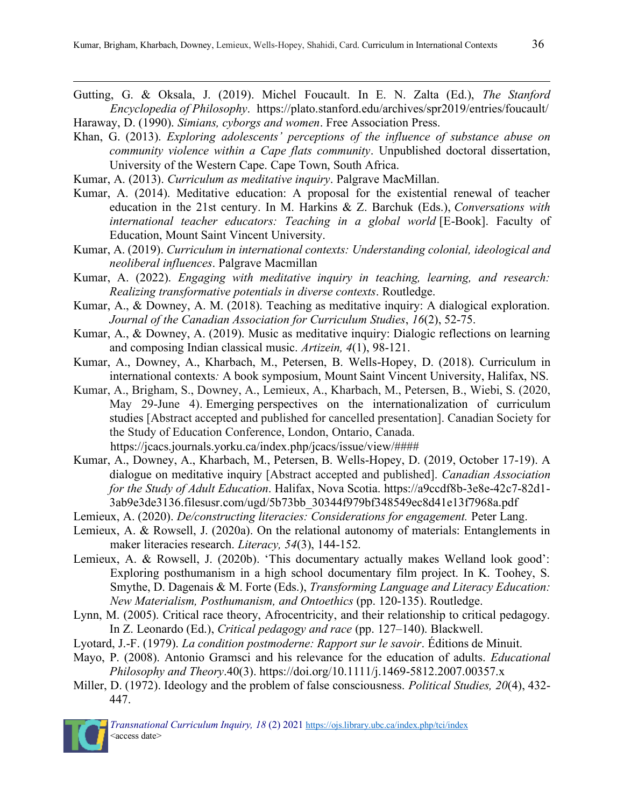- Gutting, G. & Oksala, J. (2019). Michel Foucault. In E. N. Zalta (Ed.), *The Stanford Encyclopedia of Philosophy*. https://plato.stanford.edu/archives/spr2019/entries/foucault/ Haraway, D. (1990). *Simians, cyborgs and women*. Free Association Press.
- Khan, G. (2013). *Exploring adolescents' perceptions of the influence of substance abuse on community violence within a Cape flats community*. Unpublished doctoral dissertation, University of the Western Cape. Cape Town, South Africa.
- Kumar, A. (2013). *Curriculum as meditative inquiry*. Palgrave MacMillan.
- Kumar, A. (2014). Meditative education: A proposal for the existential renewal of teacher education in the 21st century. In M. Harkins & Z. Barchuk (Eds.), *Conversations with international teacher educators: Teaching in a global world* [E-Book]. Faculty of Education, Mount Saint Vincent University.
- Kumar, A. (2019). *Curriculum in international contexts: Understanding colonial, ideological and neoliberal influences*. Palgrave Macmillan
- Kumar, A. (2022). *Engaging with meditative inquiry in teaching, learning, and research: Realizing transformative potentials in diverse contexts*. Routledge.
- Kumar, A., & Downey, A. M. (2018). Teaching as meditative inquiry: A dialogical exploration. *Journal of the Canadian Association for Curriculum Studies*, *16*(2), 52-75.
- Kumar, A., & Downey, A. (2019). Music as meditative inquiry: Dialogic reflections on learning and composing Indian classical music. *Artizein, 4*(1), 98-121.
- Kumar, A., Downey, A., Kharbach, M., Petersen, B. Wells-Hopey, D. (2018). Curriculum in international contexts*:* A book symposium, Mount Saint Vincent University, Halifax, NS.
- Kumar, A., Brigham, S., Downey, A., Lemieux, A., Kharbach, M., Petersen, B., Wiebi, S. (2020, May 29-June 4). Emerging perspectives on the internationalization of curriculum studies [Abstract accepted and published for cancelled presentation]. Canadian Society for the Study of Education Conference, London, Ontario, Canada. https://jcacs.journals.yorku.ca/index.php/jcacs/issue/view/####
- Kumar, A., Downey, A., Kharbach, M., Petersen, B. Wells-Hopey, D. (2019, October 17-19). A dialogue on meditative inquiry [Abstract accepted and published]. *Canadian Association for the Study of Adult Education*. Halifax, Nova Scotia. https://a9ccdf8b-3e8e-42c7-82d1- 3ab9e3de3136.filesusr.com/ugd/5b73bb\_30344f979bf348549ec8d41e13f7968a.pdf
- Lemieux, A. (2020). *De/constructing literacies: Considerations for engagement*. Peter Lang.
- Lemieux, A. & Rowsell, J. (2020a). On the relational autonomy of materials: Entanglements in maker literacies research. *Literacy, 54*(3), 144-152.
- Lemieux, A. & Rowsell, J. (2020b). 'This documentary actually makes Welland look good': Exploring posthumanism in a high school documentary film project. In K. Toohey, S. Smythe, D. Dagenais & M. Forte (Eds.), *Transforming Language and Literacy Education: New Materialism, Posthumanism, and Ontoethics* (pp. 120-135). Routledge.
- Lynn, M. (2005). Critical race theory, Afrocentricity, and their relationship to critical pedagogy. In Z. Leonardo (Ed.), *Critical pedagogy and race* (pp. 127–140). Blackwell.
- Lyotard, J.-F. (1979). *La condition postmoderne: Rapport sur le savoir*. Éditions de Minuit.
- Mayo, P. (2008). Antonio Gramsci and his relevance for the education of adults. *Educational Philosophy and Theory*.40(3). https://doi.org/10.1111/j.1469-5812.2007.00357.x
- Miller, D. (1972). Ideology and the problem of false consciousness. *Political Studies, 20*(4), 432- 447.

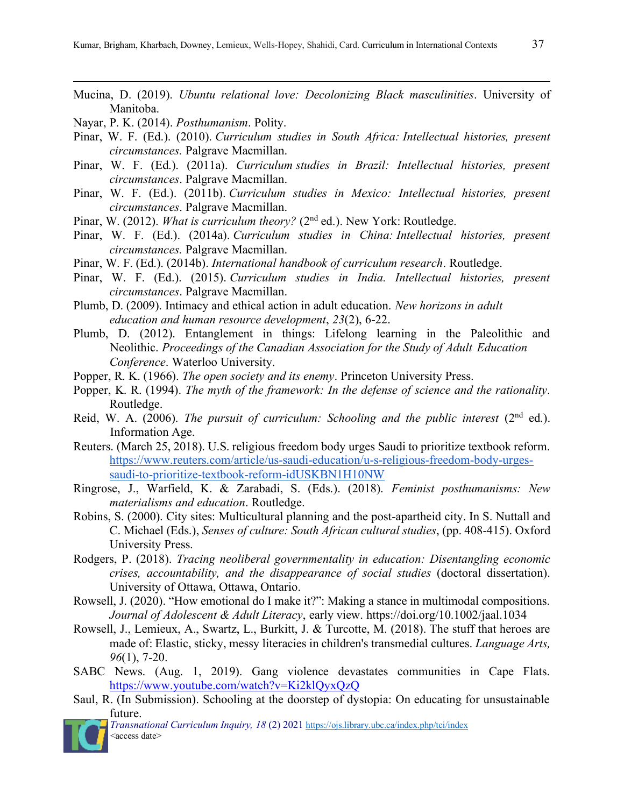- 
- Mucina, D. (2019). *Ubuntu relational love: Decolonizing Black masculinities*. University of Manitoba.
- Nayar, P. K. (2014). *Posthumanism*. Polity.
- Pinar, W. F. (Ed.). (2010). *Curriculum studies in South Africa: Intellectual histories, present circumstances.* Palgrave Macmillan.
- Pinar, W. F. (Ed.). (2011a). *Curriculum studies in Brazil: Intellectual histories, present circumstances*. Palgrave Macmillan.
- Pinar, W. F. (Ed.). (2011b). *Curriculum studies in Mexico: Intellectual histories, present circumstances*. Palgrave Macmillan.
- Pinar, W. (2012). *What is curriculum theory?* (2<sup>nd</sup> ed.). New York: Routledge.
- Pinar, W. F. (Ed.). (2014a). *Curriculum studies in China: Intellectual histories, present circumstances.* Palgrave Macmillan.
- Pinar, W. F. (Ed.). (2014b). *International handbook of curriculum research*. Routledge.
- Pinar, W. F. (Ed.). (2015). *Curriculum studies in India. Intellectual histories, present circumstances*. Palgrave Macmillan.
- Plumb, D. (2009). Intimacy and ethical action in adult education. *New horizons in adult education and human resource development*, *23*(2), 6-22.
- Plumb, D. (2012). Entanglement in things: Lifelong learning in the Paleolithic and Neolithic. *Proceedings of the Canadian Association for the Study of Adult Education Conference*. Waterloo University.
- Popper, R. K. (1966). *The open society and its enemy*. Princeton University Press.
- Popper, K. R. (1994). *The myth of the framework: In the defense of science and the rationality*. Routledge.
- Reid, W. A. (2006). *The pursuit of curriculum: Schooling and the public interest* (2<sup>nd</sup> ed.). Information Age.
- Reuters. (March 25, 2018). U.S. religious freedom body urges Saudi to prioritize textbook reform. https://www.reuters.com/article/us-saudi-education/u-s-religious-freedom-body-urgessaudi-to-prioritize-textbook-reform-idUSKBN1H10NW
- Ringrose, J., Warfield, K. & Zarabadi, S. (Eds.). (2018). *Feminist posthumanisms: New materialisms and education*. Routledge.
- Robins, S. (2000). City sites: Multicultural planning and the post-apartheid city. In S. Nuttall and C. Michael (Eds.), *Senses of culture: South African cultural studies*, (pp. 408-415). Oxford University Press.
- Rodgers, P. (2018). *Tracing neoliberal governmentality in education: Disentangling economic crises, accountability, and the disappearance of social studies* (doctoral dissertation). University of Ottawa, Ottawa, Ontario.
- Rowsell, J. (2020). "How emotional do I make it?": Making a stance in multimodal compositions. *Journal of Adolescent & Adult Literacy*, early view. https://doi.org/10.1002/jaal.1034
- Rowsell, J., Lemieux, A., Swartz, L., Burkitt, J. & Turcotte, M. (2018). The stuff that heroes are made of: Elastic, sticky, messy literacies in children's transmedial cultures. *Language Arts, 96*(1), 7-20.
- SABC News. (Aug. 1, 2019). Gang violence devastates communities in Cape Flats. https://www.youtube.com/watch?v=Ki2klQyxQzQ
- Saul, R. (In Submission). Schooling at the doorstep of dystopia: On educating for unsustainable future.

 *Transnational Curriculum Inquiry, 18* (2) 2021 [https://ojs.library.ubc.ca/index.php/tci/index](about:blank)  <access date>